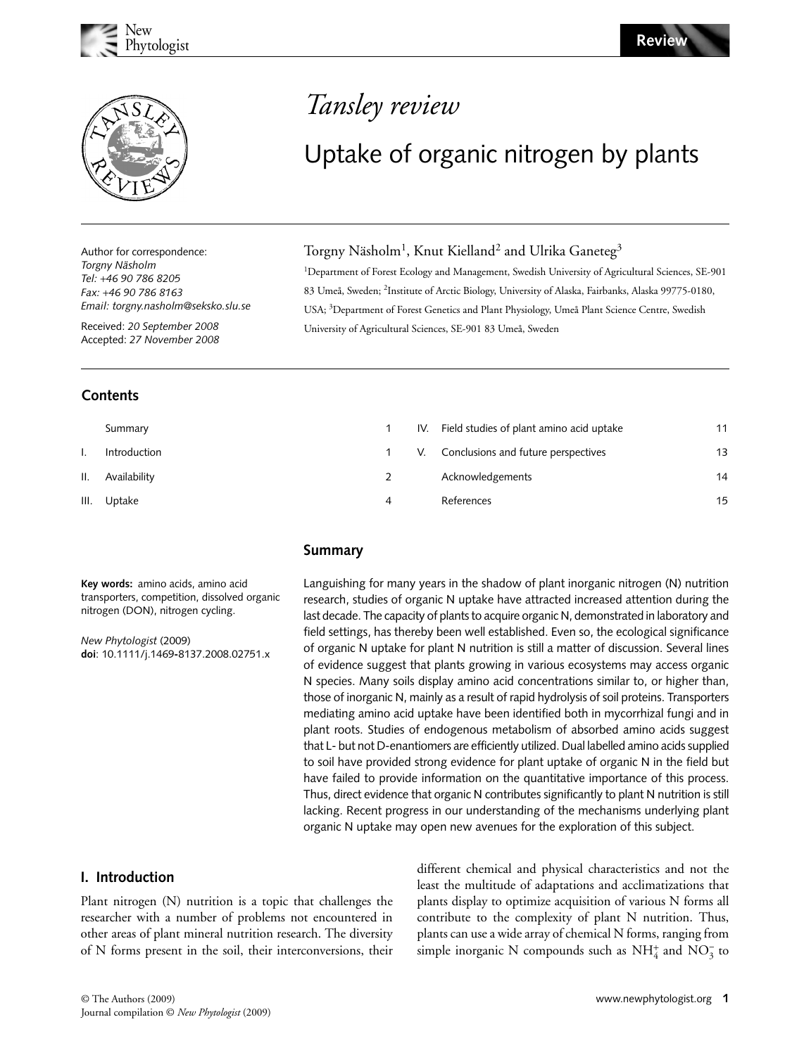

Author for correspondence: *Torgny Näsholm Tel:* +*46 90 786 8205 Fax:* +*46 90 786 8163 Email: torgny.nasholm@seksko.slu.se*

Received: *20 September 2008* Accepted: *27 November 2008*

## **Contents**

**Summary** I. Introduction 1 II. Availability III. Uptake

## Tansley review

# Uptake of organic nitrogen by plants

## Torgny Näsholm $^1$ , Knut Kielland $^2$  and Ulrika Ganeteg $^3$

<sup>1</sup>Department of Forest Ecology and Management, Swedish University of Agricultural Sciences, SE-901 83 Umeå, Sweden; <sup>2</sup>Institute of Arctic Biology, University of Alaska, Fairbanks, Alaska 99775-0180, USA; <sup>3</sup>Department of Forest Genetics and Plant Physiology, Umeå Plant Science Centre, Swedish University of Agricultural Sciences, SE-901 83 Umeå, Sweden

| $\mathbf{1}$   | IV. Field studies of plant amino acid uptake | 11 |
|----------------|----------------------------------------------|----|
| $1 \quad$      | V. Conclusions and future perspectives       | 13 |
| 2              | Acknowledgements                             | 14 |
| $\overline{4}$ | References                                   | 15 |

## **Summary**

**Key words:** amino acids, amino acid transporters, competition, dissolved organic nitrogen (DON), nitrogen cycling.

*New Phytologist* (2009) **doi**: 10.1111/j.1469**-**8137.2008.02751.x Languishing for many years in the shadow of plant inorganic nitrogen (N) nutrition research, studies of organic N uptake have attracted increased attention during the last decade. The capacity of plants to acquire organic N, demonstrated in laboratory and field settings, has thereby been well established. Even so, the ecological significance of organic N uptake for plant N nutrition is still a matter of discussion. Several lines of evidence suggest that plants growing in various ecosystems may access organic N species. Many soils display amino acid concentrations similar to, or higher than, those of inorganic N, mainly as a result of rapid hydrolysis of soil proteins. Transporters mediating amino acid uptake have been identified both in mycorrhizal fungi and in plant roots. Studies of endogenous metabolism of absorbed amino acids suggest that L- but not D-enantiomers are efficiently utilized. Dual labelled amino acids supplied to soil have provided strong evidence for plant uptake of organic N in the field but have failed to provide information on the quantitative importance of this process. Thus, direct evidence that organic N contributes significantly to plant N nutrition is still lacking. Recent progress in our understanding of the mechanisms underlying plant organic N uptake may open new avenues for the exploration of this subject.

## **I. Introduction**

Plant nitrogen (N) nutrition is a topic that challenges the researcher with a number of problems not encountered in other areas of plant mineral nutrition research. The diversity of N forms present in the soil, their interconversions, their different chemical and physical characteristics and not the least the multitude of adaptations and acclimatizations that plants display to optimize acquisition of various N forms all contribute to the complexity of plant N nutrition. Thus, plants can use a wide array of chemical N forms, ranging from simple inorganic N compounds such as  $NH_4^+$  and  $NO_3^-$  to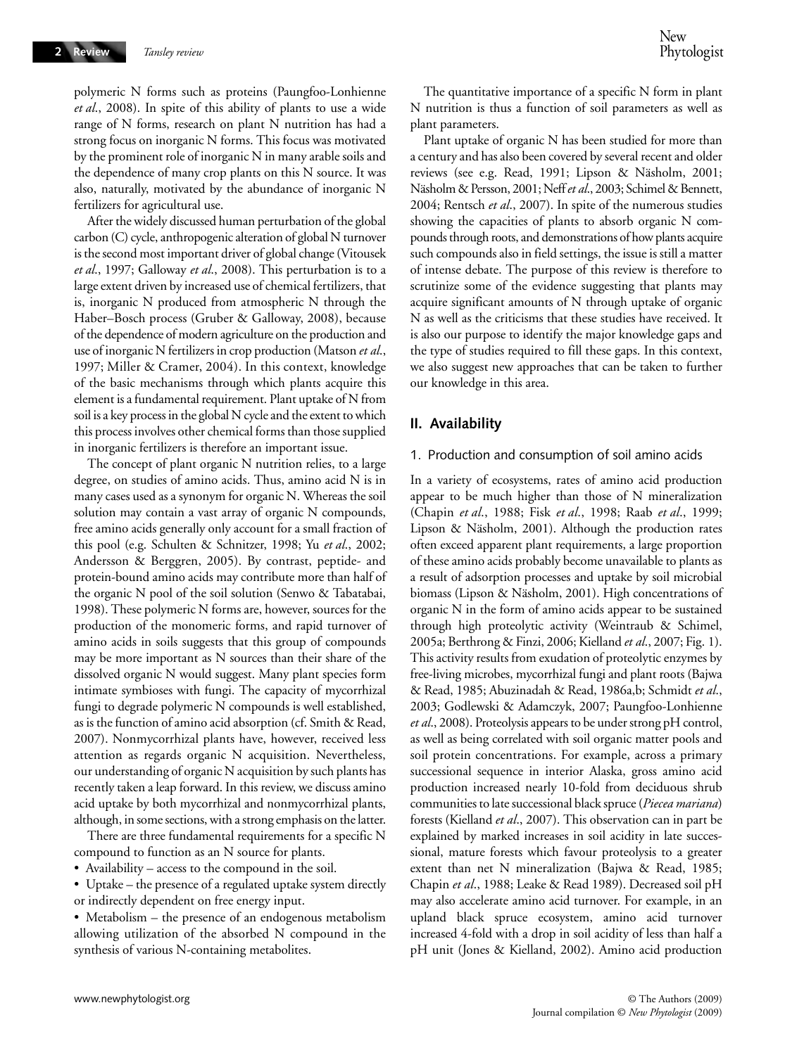polymeric N forms such as proteins (Paungfoo-Lonhienne *et al*., 2008). In spite of this ability of plants to use a wide range of N forms, research on plant N nutrition has had a strong focus on inorganic N forms. This focus was motivated by the prominent role of inorganic N in many arable soils and the dependence of many crop plants on this N source. It was also, naturally, motivated by the abundance of inorganic N fertilizers for agricultural use.

After the widely discussed human perturbation of the global carbon (C) cycle, anthropogenic alteration of global N turnover is the second most important driver of global change (Vitousek *et al*., 1997; Galloway *et al*., 2008). This perturbation is to a large extent driven by increased use of chemical fertilizers, that is, inorganic N produced from atmospheric N through the Haber–Bosch process (Gruber & Galloway, 2008), because of the dependence of modern agriculture on the production and use of inorganic N fertilizers in crop production (Matson *et al*., 1997; Miller & Cramer, 2004). In this context, knowledge of the basic mechanisms through which plants acquire this element is a fundamental requirement. Plant uptake of N from soil is a key process in the global N cycle and the extent to which this process involves other chemical forms than those supplied in inorganic fertilizers is therefore an important issue.

The concept of plant organic N nutrition relies, to a large degree, on studies of amino acids. Thus, amino acid N is in many cases used as a synonym for organic N. Whereas the soil solution may contain a vast array of organic N compounds, free amino acids generally only account for a small fraction of this pool (e.g. Schulten & Schnitzer, 1998; Yu *et al*., 2002; Andersson & Berggren, 2005). By contrast, peptide- and protein-bound amino acids may contribute more than half of the organic N pool of the soil solution (Senwo & Tabatabai, 1998). These polymeric N forms are, however, sources for the production of the monomeric forms, and rapid turnover of amino acids in soils suggests that this group of compounds may be more important as N sources than their share of the dissolved organic N would suggest. Many plant species form intimate symbioses with fungi. The capacity of mycorrhizal fungi to degrade polymeric N compounds is well established, as is the function of amino acid absorption (cf. Smith & Read, 2007). Nonmycorrhizal plants have, however, received less attention as regards organic N acquisition. Nevertheless, our understanding of organic N acquisition by such plants has recently taken a leap forward. In this review, we discuss amino acid uptake by both mycorrhizal and nonmycorrhizal plants, although, in some sections, with a strong emphasis on the latter.

There are three fundamental requirements for a specific N compound to function as an N source for plants.

• Availability – access to the compound in the soil.

• Uptake – the presence of a regulated uptake system directly or indirectly dependent on free energy input.

• Metabolism – the presence of an endogenous metabolism allowing utilization of the absorbed N compound in the synthesis of various N-containing metabolites.

The quantitative importance of a specific N form in plant N nutrition is thus a function of soil parameters as well as plant parameters.

Plant uptake of organic N has been studied for more than a century and has also been covered by several recent and older reviews (see e.g. Read, 1991; Lipson & Näsholm, 2001; Näsholm & Persson, 2001; Neff *et al*., 2003; Schimel & Bennett, 2004; Rentsch *et al*., 2007). In spite of the numerous studies showing the capacities of plants to absorb organic N compounds through roots, and demonstrations of how plants acquire such compounds also in field settings, the issue is still a matter of intense debate. The purpose of this review is therefore to scrutinize some of the evidence suggesting that plants may acquire significant amounts of N through uptake of organic N as well as the criticisms that these studies have received. It is also our purpose to identify the major knowledge gaps and the type of studies required to fill these gaps. In this context, we also suggest new approaches that can be taken to further our knowledge in this area.

#### **II. Availability**

#### 1. Production and consumption of soil amino acids

In a variety of ecosystems, rates of amino acid production appear to be much higher than those of N mineralization (Chapin *et al*., 1988; Fisk *et al*., 1998; Raab *et al*., 1999; Lipson & Näsholm, 2001). Although the production rates often exceed apparent plant requirements, a large proportion of these amino acids probably become unavailable to plants as a result of adsorption processes and uptake by soil microbial biomass (Lipson & Näsholm, 2001). High concentrations of organic N in the form of amino acids appear to be sustained through high proteolytic activity (Weintraub & Schimel, 2005a; Berthrong & Finzi, 2006; Kielland *et al*., 2007; Fig. 1). This activity results from exudation of proteolytic enzymes by free-living microbes, mycorrhizal fungi and plant roots (Bajwa & Read, 1985; Abuzinadah & Read, 1986a,b; Schmidt *et al*., 2003; Godlewski & Adamczyk, 2007; Paungfoo-Lonhienne *et al*., 2008). Proteolysis appears to be under strong pH control, as well as being correlated with soil organic matter pools and soil protein concentrations. For example, across a primary successional sequence in interior Alaska, gross amino acid production increased nearly 10-fold from deciduous shrub communities to late successional black spruce (*Piecea mariana*) forests (Kielland *et al*., 2007). This observation can in part be explained by marked increases in soil acidity in late successional, mature forests which favour proteolysis to a greater extent than net N mineralization (Bajwa & Read, 1985; Chapin *et al*., 1988; Leake & Read 1989). Decreased soil pH may also accelerate amino acid turnover. For example, in an upland black spruce ecosystem, amino acid turnover increased 4-fold with a drop in soil acidity of less than half a pH unit (Jones & Kielland, 2002). Amino acid production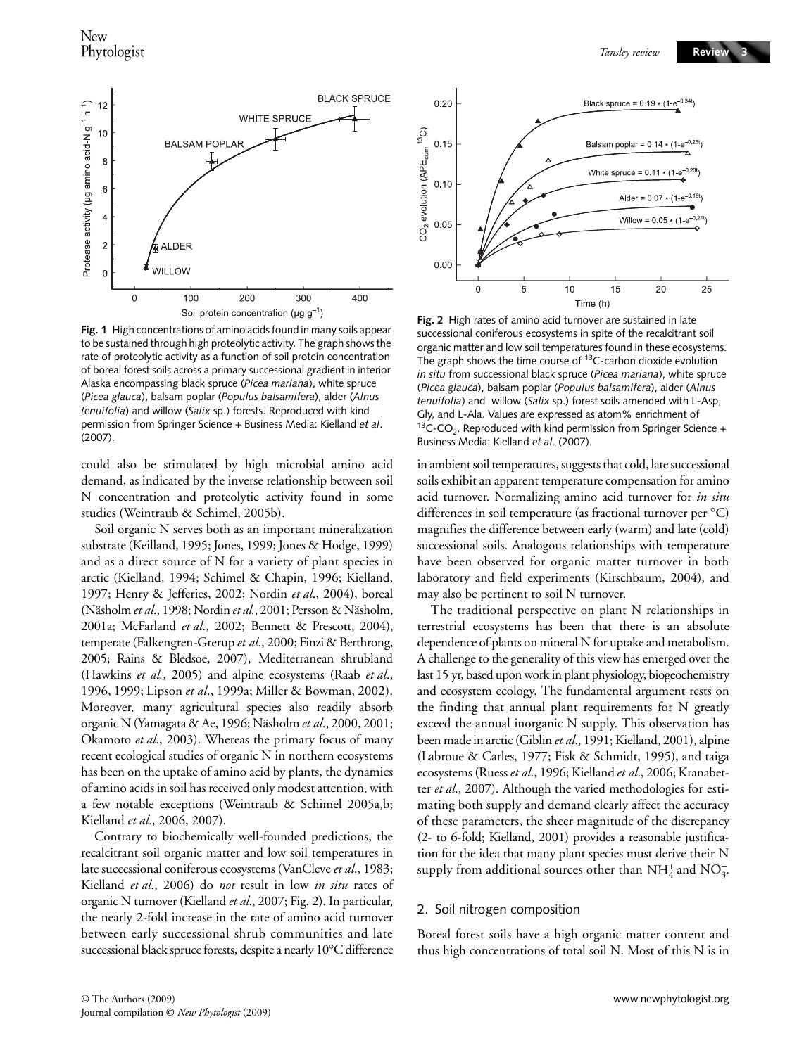**Review** 



**Fig. 1** High concentrations of amino acids found in many soils appear to be sustained through high proteolytic activity. The graph shows the rate of proteolytic activity as a function of soil protein concentration of boreal forest soils across a primary successional gradient in interior Alaska encompassing black spruce (*Picea mariana*), white spruce (*Picea glauca*), balsam poplar (*Populus balsamifera*), alder (*Alnus tenuifolia*) and willow (*Salix* sp.) forests. Reproduced with kind permission from Springer Science + Business Media: Kielland *et al*. (2007).

could also be stimulated by high microbial amino acid demand, as indicated by the inverse relationship between soil N concentration and proteolytic activity found in some studies (Weintraub & Schimel, 2005b).

Soil organic N serves both as an important mineralization substrate (Keilland, 1995; Jones, 1999; Jones & Hodge, 1999) and as a direct source of N for a variety of plant species in arctic (Kielland, 1994; Schimel & Chapin, 1996; Kielland, 1997; Henry & Jefferies, 2002; Nordin *et al*., 2004), boreal (Näsholm *et al*., 1998; Nordin *et al.*, 2001; Persson & Näsholm, 2001a; McFarland *et al*., 2002; Bennett & Prescott, 2004), temperate (Falkengren-Grerup *et al*., 2000; Finzi & Berthrong, 2005; Rains & Bledsoe, 2007), Mediterranean shrubland (Hawkins *et al.*, 2005) and alpine ecosystems (Raab *et al*., 1996, 1999; Lipson *et al*., 1999a; Miller & Bowman, 2002). Moreover, many agricultural species also readily absorb organic N (Yamagata & Ae, 1996; Näsholm *et al*., 2000, 2001; Okamoto *et al*., 2003). Whereas the primary focus of many recent ecological studies of organic N in northern ecosystems has been on the uptake of amino acid by plants, the dynamics of amino acids in soil has received only modest attention, with a few notable exceptions (Weintraub & Schimel 2005a,b; Kielland *et al*., 2006, 2007).

Contrary to biochemically well-founded predictions, the recalcitrant soil organic matter and low soil temperatures in late successional coniferous ecosystems (VanCleve *et al*., 1983; Kielland *et al*., 2006) do *not* result in low *in situ* rates of organic N turnover (Kielland *et al*., 2007; Fig. 2). In particular, the nearly 2-fold increase in the rate of amino acid turnover between early successional shrub communities and late successional black spruce forests, despite a nearly 10°C difference



**Fig. 2** High rates of amino acid turnover are sustained in late successional coniferous ecosystems in spite of the recalcitrant soil organic matter and low soil temperatures found in these ecosystems. The graph shows the time course of  $^{13}$ C-carbon dioxide evolution *in situ* from successional black spruce (*Picea mariana*), white spruce (*Picea glauca*), balsam poplar (*Populus balsamifera*), alder (*Alnus tenuifolia*) and willow (*Salix* sp.) forest soils amended with L-Asp, Gly, and L-Ala. Values are expressed as atom% enrichment of 13C-CO<sub>2</sub>. Reproduced with kind permission from Springer Science + Business Media: Kielland *et al*. (2007).

in ambient soil temperatures, suggests that cold, late successional soils exhibit an apparent temperature compensation for amino acid turnover. Normalizing amino acid turnover for *in situ* differences in soil temperature (as fractional turnover per °C) magnifies the difference between early (warm) and late (cold) successional soils. Analogous relationships with temperature have been observed for organic matter turnover in both laboratory and field experiments (Kirschbaum, 2004), and may also be pertinent to soil N turnover.

The traditional perspective on plant N relationships in terrestrial ecosystems has been that there is an absolute dependence of plants on mineral N for uptake and metabolism. A challenge to the generality of this view has emerged over the last 15 yr, based upon work in plant physiology, biogeochemistry and ecosystem ecology. The fundamental argument rests on the finding that annual plant requirements for N greatly exceed the annual inorganic N supply. This observation has been made in arctic (Giblin *et al*., 1991; Kielland, 2001), alpine (Labroue & Carles, 1977; Fisk & Schmidt, 1995), and taiga ecosystems (Ruess *et al*., 1996; Kielland *et al*., 2006; Kranabetter *et al*., 2007). Although the varied methodologies for estimating both supply and demand clearly affect the accuracy of these parameters, the sheer magnitude of the discrepancy (2- to 6-fold; Kielland, 2001) provides a reasonable justification for the idea that many plant species must derive their N supply from additional sources other than  $NH_4^+$  and  $NO_3^-$ .

#### 2. Soil nitrogen composition

Boreal forest soils have a high organic matter content and thus high concentrations of total soil N. Most of this N is in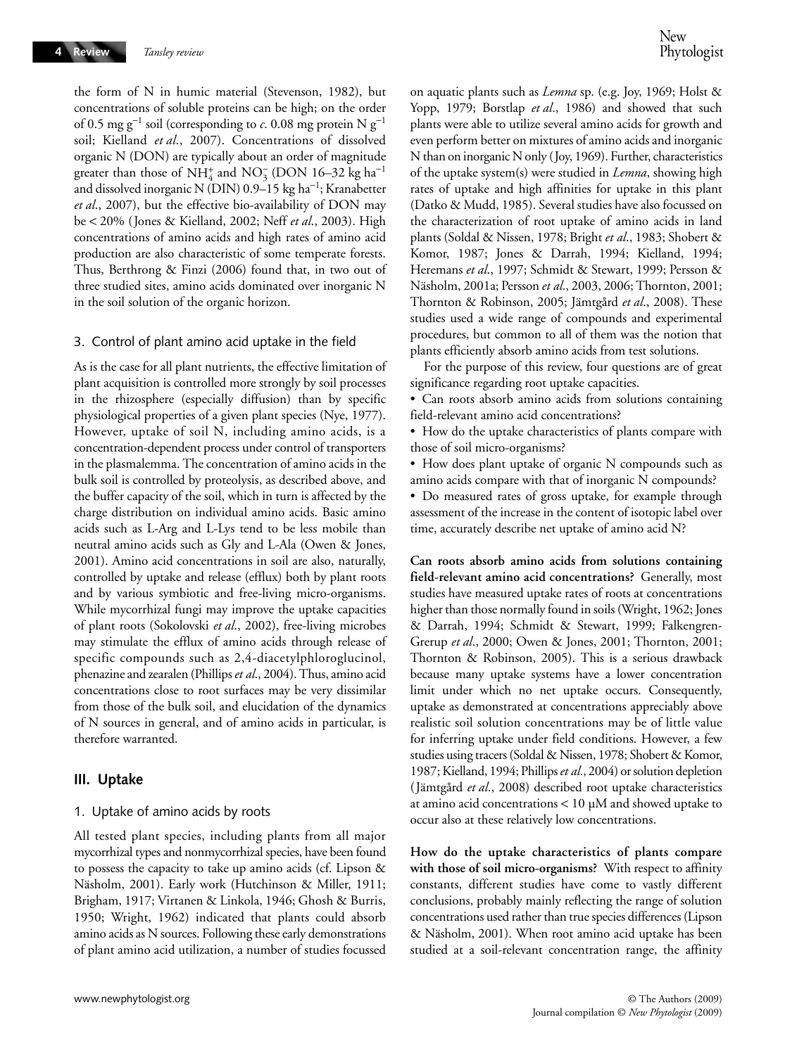the form of N in humic material (Stevenson, 1982), but concentrations of soluble proteins can be high; on the order of 0.5 mg g<sup>−</sup><sup>1</sup> soil (corresponding to *c*. 0.08 mg protein N g<sup>−</sup><sup>1</sup> soil; Kielland *et al*., 2007). Concentrations of dissolved organic N (DON) are typically about an order of magnitude greater than those of NH<sup>+</sup><sub>4</sub> and NO<sub>3</sub> (DON 16–32 kg ha<sup>-1</sup> and dissolved inorganic N (DIN) 0.9–15 kg ha<sup>−</sup><sup>1</sup> ; Kranabetter *et al*., 2007), but the effective bio-availability of DON may be < 20% (Jones & Kielland, 2002; Neff *et al*., 2003). High concentrations of amino acids and high rates of amino acid production are also characteristic of some temperate forests. Thus, Berthrong & Finzi (2006) found that, in two out of three studied sites, amino acids dominated over inorganic N in the soil solution of the organic horizon.

#### 3. Control of plant amino acid uptake in the field

As is the case for all plant nutrients, the effective limitation of plant acquisition is controlled more strongly by soil processes in the rhizosphere (especially diffusion) than by specific physiological properties of a given plant species (Nye, 1977). However, uptake of soil N, including amino acids, is a concentration-dependent process under control of transporters in the plasmalemma. The concentration of amino acids in the bulk soil is controlled by proteolysis, as described above, and the buffer capacity of the soil, which in turn is affected by the charge distribution on individual amino acids. Basic amino acids such as L-Arg and L-Lys tend to be less mobile than neutral amino acids such as Gly and L-Ala (Owen & Jones, 2001). Amino acid concentrations in soil are also, naturally, controlled by uptake and release (efflux) both by plant roots and by various symbiotic and free-living micro-organisms. While mycorrhizal fungi may improve the uptake capacities of plant roots (Sokolovski *et al*., 2002), free-living microbes may stimulate the efflux of amino acids through release of specific compounds such as 2,4-diacetylphloroglucinol, phenazine and zearalen (Phillips *et al*., 2004). Thus, amino acid concentrations close to root surfaces may be very dissimilar from those of the bulk soil, and elucidation of the dynamics of N sources in general, and of amino acids in particular, is therefore warranted.

#### **III. Uptake**

#### 1. Uptake of amino acids by roots

All tested plant species, including plants from all major mycorrhizal types and nonmycorrhizal species, have been found to possess the capacity to take up amino acids (cf. Lipson & Näsholm, 2001). Early work (Hutchinson & Miller, 1911; Brigham, 1917; Virtanen & Linkola, 1946; Ghosh & Burris, 1950; Wright, 1962) indicated that plants could absorb amino acids as N sources. Following these early demonstrations of plant amino acid utilization, a number of studies focussed

on aquatic plants such as *Lemna* sp. (e.g. Joy, 1969; Holst & Yopp, 1979; Borstlap *et al*., 1986) and showed that such plants were able to utilize several amino acids for growth and even perform better on mixtures of amino acids and inorganic N than on inorganic N only (Joy, 1969). Further, characteristics of the uptake system(s) were studied in *Lemna*, showing high rates of uptake and high affinities for uptake in this plant (Datko & Mudd, 1985). Several studies have also focussed on the characterization of root uptake of amino acids in land plants (Soldal & Nissen, 1978; Bright *et al*., 1983; Shobert & Komor, 1987; Jones & Darrah, 1994; Kielland, 1994; Heremans *et al*., 1997; Schmidt & Stewart, 1999; Persson & Näsholm, 2001a; Persson *et al*., 2003, 2006; Thornton, 2001; Thornton & Robinson, 2005; Jämtgård *et al*., 2008). These studies used a wide range of compounds and experimental procedures, but common to all of them was the notion that plants efficiently absorb amino acids from test solutions.

For the purpose of this review, four questions are of great significance regarding root uptake capacities.

• Can roots absorb amino acids from solutions containing field-relevant amino acid concentrations?

• How do the uptake characteristics of plants compare with those of soil micro-organisms?

• How does plant uptake of organic N compounds such as amino acids compare with that of inorganic N compounds?

• Do measured rates of gross uptake, for example through assessment of the increase in the content of isotopic label over time, accurately describe net uptake of amino acid N?

**Can roots absorb amino acids from solutions containing field-relevant amino acid concentrations?** Generally, most studies have measured uptake rates of roots at concentrations higher than those normally found in soils (Wright, 1962; Jones & Darrah, 1994; Schmidt & Stewart, 1999; Falkengren-Grerup *et al*., 2000; Owen & Jones, 2001; Thornton, 2001; Thornton & Robinson, 2005). This is a serious drawback because many uptake systems have a lower concentration limit under which no net uptake occurs. Consequently, uptake as demonstrated at concentrations appreciably above realistic soil solution concentrations may be of little value for inferring uptake under field conditions. However, a few studies using tracers (Soldal & Nissen, 1978; Shobert & Komor, 1987; Kielland, 1994; Phillips *et al*., 2004) or solution depletion (Jämtgård *et al*., 2008) described root uptake characteristics at amino acid concentrations < 10 µM and showed uptake to occur also at these relatively low concentrations.

**How do the uptake characteristics of plants compare with those of soil micro-organisms?** With respect to affinity constants, different studies have come to vastly different conclusions, probably mainly reflecting the range of solution concentrations used rather than true species differences (Lipson & Näsholm, 2001). When root amino acid uptake has been studied at a soil-relevant concentration range, the affinity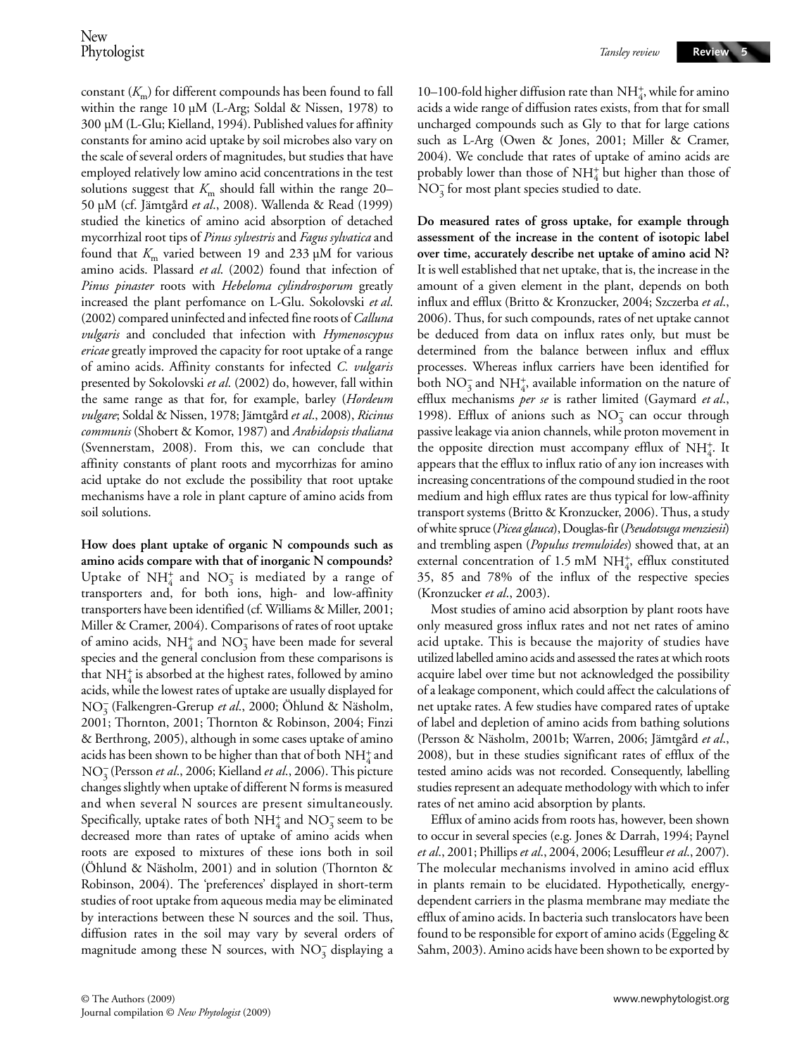constant  $(K<sub>m</sub>)$  for different compounds has been found to fall within the range 10 µM (L-Arg; Soldal & Nissen, 1978) to 300 µM (L-Glu; Kielland, 1994). Published values for affinity constants for amino acid uptake by soil microbes also vary on the scale of several orders of magnitudes, but studies that have employed relatively low amino acid concentrations in the test solutions suggest that  $K<sub>m</sub>$  should fall within the range 20– 50 µM (cf. Jämtgård *et al*., 2008). Wallenda & Read (1999) studied the kinetics of amino acid absorption of detached mycorrhizal root tips of *Pinus sylvestris* and *Fagus sylvatica* and found that  $K_m$  varied between 19 and 233 µM for various amino acids. Plassard *et al*. (2002) found that infection of *Pinus pinaster* roots with *Hebeloma cylindrosporum* greatly increased the plant perfomance on L-Glu. Sokolovski *et al*. (2002) compared uninfected and infected fine roots of *Calluna vulgaris* and concluded that infection with *Hymenoscypus ericae* greatly improved the capacity for root uptake of a range of amino acids. Affinity constants for infected *C. vulgaris* presented by Sokolovski *et al*. (2002) do, however, fall within the same range as that for, for example, barley (*Hordeum vulgare*; Soldal & Nissen, 1978; Jämtgård *et al*., 2008), *Ricinus communis* (Shobert & Komor, 1987) and *Arabidopsis thaliana* (Svennerstam, 2008). From this, we can conclude that affinity constants of plant roots and mycorrhizas for amino acid uptake do not exclude the possibility that root uptake mechanisms have a role in plant capture of amino acids from soil solutions.

**How does plant uptake of organic N compounds such as amino acids compare with that of inorganic N compounds?** Uptake of  $NH_4^+$  and  $NO_3^-$  is mediated by a range of transporters and, for both ions, high- and low-affinity transporters have been identified (cf. Williams & Miller, 2001; Miller & Cramer, 2004). Comparisons of rates of root uptake of amino acids,  $NH_4^+$  and  $NO_3^-$  have been made for several species and the general conclusion from these comparisons is that  $NH_4^+$  is absorbed at the highest rates, followed by amino acids, while the lowest rates of uptake are usually displayed for NO<sub>3</sub> (Falkengren-Grerup *et al*., 2000; Öhlund & Näsholm, 2001; Thornton, 2001; Thornton & Robinson, 2004; Finzi & Berthrong, 2005), although in some cases uptake of amino acids has been shown to be higher than that of both  $\mathrm{NH}_4^+$  and NO<sub>3</sub> (Persson *et al.*, 2006; Kielland *et al.*, 2006). This picture changes slightly when uptake of different N forms is measured and when several N sources are present simultaneously. Specifically, uptake rates of both  $NH_4^+$  and  $NO_3^-$  seem to be decreased more than rates of uptake of amino acids when roots are exposed to mixtures of these ions both in soil (Öhlund & Näsholm, 2001) and in solution (Thornton & Robinson, 2004). The 'preferences' displayed in short-term studies of root uptake from aqueous media may be eliminated by interactions between these N sources and the soil. Thus, diffusion rates in the soil may vary by several orders of magnitude among these N sources, with  $NO_3^-$  displaying a

10–100-fold higher diffusion rate than  $NH_4^+$ , while for amino acids a wide range of diffusion rates exists, from that for small uncharged compounds such as Gly to that for large cations such as L-Arg (Owen & Jones, 2001; Miller & Cramer, 2004). We conclude that rates of uptake of amino acids are probably lower than those of  $\mathrm{NH}_4^+$  but higher than those of  $NO<sub>3</sub><sup>-</sup>$  for most plant species studied to date.

**Do measured rates of gross uptake, for example through assessment of the increase in the content of isotopic label over time, accurately describe net uptake of amino acid N?** It is well established that net uptake, that is, the increase in the amount of a given element in the plant, depends on both influx and efflux (Britto & Kronzucker, 2004; Szczerba *et al*., 2006). Thus, for such compounds, rates of net uptake cannot be deduced from data on influx rates only, but must be determined from the balance between influx and efflux processes. Whereas influx carriers have been identified for both  $NO_3^-$  and  $NH_4^+$ , available information on the nature of efflux mechanisms *per se* is rather limited (Gaymard *et al*., 1998). Efflux of anions such as  $NO_3^-$  can occur through passive leakage via anion channels, while proton movement in the opposite direction must accompany efflux of  $NH_4^+$ . It appears that the efflux to influx ratio of any ion increases with increasing concentrations of the compound studied in the root medium and high efflux rates are thus typical for low-affinity transport systems (Britto & Kronzucker, 2006). Thus, a study of white spruce (*Picea glauca*), Douglas-fir (*Pseudotsuga menziesii*) and trembling aspen (*Populus tremuloides*) showed that, at an external concentration of 1.5 mM  $NH_4^+$ , efflux constituted 35, 85 and 78% of the influx of the respective species (Kronzucker *et al*., 2003).

Most studies of amino acid absorption by plant roots have only measured gross influx rates and not net rates of amino acid uptake. This is because the majority of studies have utilized labelled amino acids and assessed the rates at which roots acquire label over time but not acknowledged the possibility of a leakage component, which could affect the calculations of net uptake rates. A few studies have compared rates of uptake of label and depletion of amino acids from bathing solutions (Persson & Näsholm, 2001b; Warren, 2006; Jämtgård *et al*., 2008), but in these studies significant rates of efflux of the tested amino acids was not recorded. Consequently, labelling studies represent an adequate methodology with which to infer rates of net amino acid absorption by plants.

Efflux of amino acids from roots has, however, been shown to occur in several species (e.g. Jones & Darrah, 1994; Paynel *et al*., 2001; Phillips *et al*., 2004, 2006; Lesuffleur *et al*., 2007). The molecular mechanisms involved in amino acid efflux in plants remain to be elucidated. Hypothetically, energydependent carriers in the plasma membrane may mediate the efflux of amino acids. In bacteria such translocators have been found to be responsible for export of amino acids (Eggeling & Sahm, 2003). Amino acids have been shown to be exported by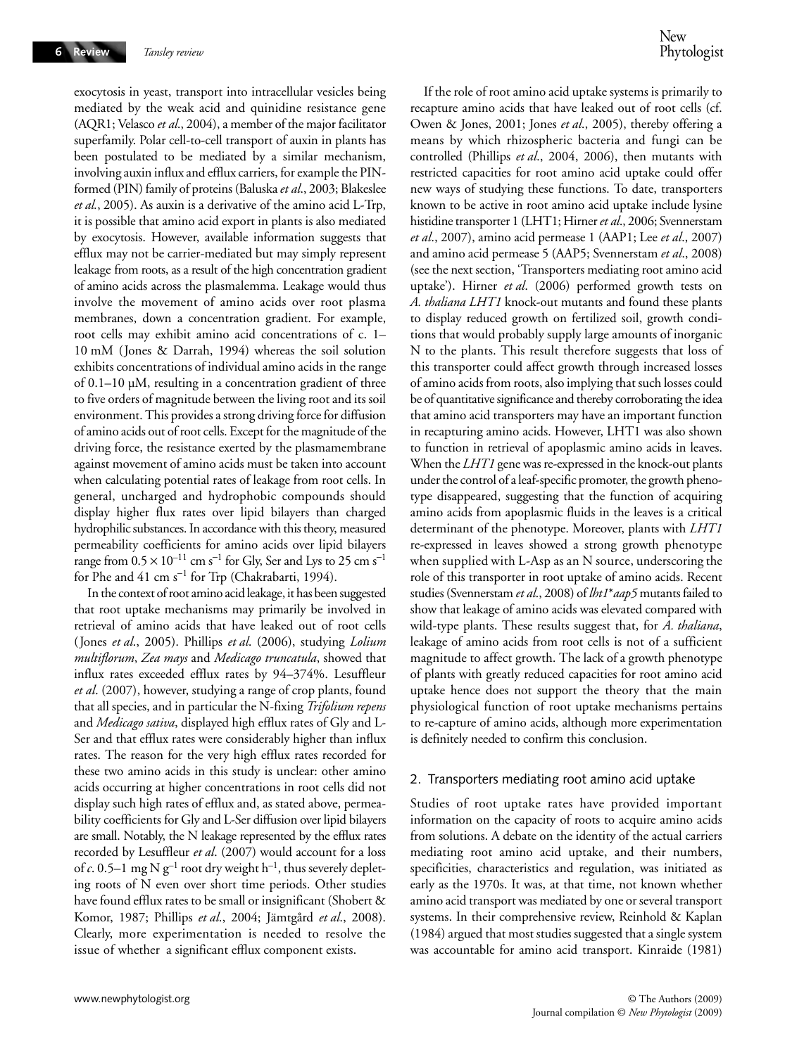exocytosis in yeast, transport into intracellular vesicles being mediated by the weak acid and quinidine resistance gene (AQR1; Velasco *et al*., 2004), a member of the major facilitator superfamily. Polar cell-to-cell transport of auxin in plants has been postulated to be mediated by a similar mechanism, involving auxin influx and efflux carriers, for example the PINformed (PIN) family of proteins (Baluska *et al*., 2003; Blakeslee *et al.*, 2005). As auxin is a derivative of the amino acid L-Trp, it is possible that amino acid export in plants is also mediated by exocytosis. However, available information suggests that efflux may not be carrier-mediated but may simply represent leakage from roots, as a result of the high concentration gradient of amino acids across the plasmalemma. Leakage would thus involve the movement of amino acids over root plasma membranes, down a concentration gradient. For example, root cells may exhibit amino acid concentrations of c. 1– 10 mM (Jones & Darrah, 1994) whereas the soil solution exhibits concentrations of individual amino acids in the range of 0.1–10 µM, resulting in a concentration gradient of three to five orders of magnitude between the living root and its soil environment. This provides a strong driving force for diffusion of amino acids out of root cells. Except for the magnitude of the driving force, the resistance exerted by the plasmamembrane against movement of amino acids must be taken into account when calculating potential rates of leakage from root cells. In general, uncharged and hydrophobic compounds should display higher flux rates over lipid bilayers than charged hydrophilic substances. In accordance with this theory, measured permeability coefficients for amino acids over lipid bilayers range from  $0.5 \times 10^{-11}$  cm s<sup>-1</sup> for Gly, Ser and Lys to 25 cm s<sup>-1</sup> for Phe and 41 cm s<sup>-1</sup> for Trp (Chakrabarti, 1994).

In the context of root amino acid leakage, it has been suggested that root uptake mechanisms may primarily be involved in retrieval of amino acids that have leaked out of root cells (Jones *et al*., 2005). Phillips *et al*. (2006), studying *Lolium multiflorum*, *Zea mays* and *Medicago truncatula*, showed that influx rates exceeded efflux rates by 94–374%. Lesuffleur *et al*. (2007), however, studying a range of crop plants, found that all species, and in particular the N-fixing *Trifolium repens* and *Medicago sativa*, displayed high efflux rates of Gly and L-Ser and that efflux rates were considerably higher than influx rates. The reason for the very high efflux rates recorded for these two amino acids in this study is unclear: other amino acids occurring at higher concentrations in root cells did not display such high rates of efflux and, as stated above, permeability coefficients for Gly and L-Ser diffusion over lipid bilayers are small. Notably, the N leakage represented by the efflux rates recorded by Lesuffleur *et al*. (2007) would account for a loss of  $c$ . 0.5–1 mg N g<sup>-1</sup> root dry weight h<sup>-1</sup>, thus severely depleting roots of N even over short time periods. Other studies have found efflux rates to be small or insignificant (Shobert & Komor, 1987; Phillips *et al*., 2004; Jämtgård *et al*., 2008). Clearly, more experimentation is needed to resolve the issue of whether a significant efflux component exists.

If the role of root amino acid uptake systems is primarily to recapture amino acids that have leaked out of root cells (cf. Owen & Jones, 2001; Jones *et al*., 2005), thereby offering a means by which rhizospheric bacteria and fungi can be controlled (Phillips *et al*., 2004, 2006), then mutants with restricted capacities for root amino acid uptake could offer new ways of studying these functions. To date, transporters known to be active in root amino acid uptake include lysine histidine transporter 1 (LHT1; Hirner *et al*., 2006; Svennerstam *et al*., 2007), amino acid permease 1 (AAP1; Lee *et al*., 2007) and amino acid permease 5 (AAP5; Svennerstam *et al*., 2008) (see the next section, 'Transporters mediating root amino acid uptake'). Hirner *et al*. (2006) performed growth tests on *A. thaliana LHT1* knock-out mutants and found these plants to display reduced growth on fertilized soil, growth conditions that would probably supply large amounts of inorganic N to the plants. This result therefore suggests that loss of this transporter could affect growth through increased losses of amino acids from roots, also implying that such losses could be of quantitative significance and thereby corroborating the idea that amino acid transporters may have an important function in recapturing amino acids. However, LHT1 was also shown to function in retrieval of apoplasmic amino acids in leaves. When the *LHT1* gene was re-expressed in the knock-out plants under the control of a leaf-specific promoter, the growth phenotype disappeared, suggesting that the function of acquiring amino acids from apoplasmic fluids in the leaves is a critical determinant of the phenotype. Moreover, plants with *LHT1* re-expressed in leaves showed a strong growth phenotype when supplied with L-Asp as an N source, underscoring the role of this transporter in root uptake of amino acids. Recent studies (Svennerstam *et al*., 2008) of *lht1*\**aap5* mutants failed to show that leakage of amino acids was elevated compared with wild-type plants. These results suggest that, for *A. thaliana*, leakage of amino acids from root cells is not of a sufficient magnitude to affect growth. The lack of a growth phenotype of plants with greatly reduced capacities for root amino acid uptake hence does not support the theory that the main physiological function of root uptake mechanisms pertains to re-capture of amino acids, although more experimentation is definitely needed to confirm this conclusion.

#### 2. Transporters mediating root amino acid uptake

Studies of root uptake rates have provided important information on the capacity of roots to acquire amino acids from solutions. A debate on the identity of the actual carriers mediating root amino acid uptake, and their numbers, specificities, characteristics and regulation, was initiated as early as the 1970s. It was, at that time, not known whether amino acid transport was mediated by one or several transport systems. In their comprehensive review, Reinhold & Kaplan (1984) argued that most studies suggested that a single system was accountable for amino acid transport. Kinraide (1981)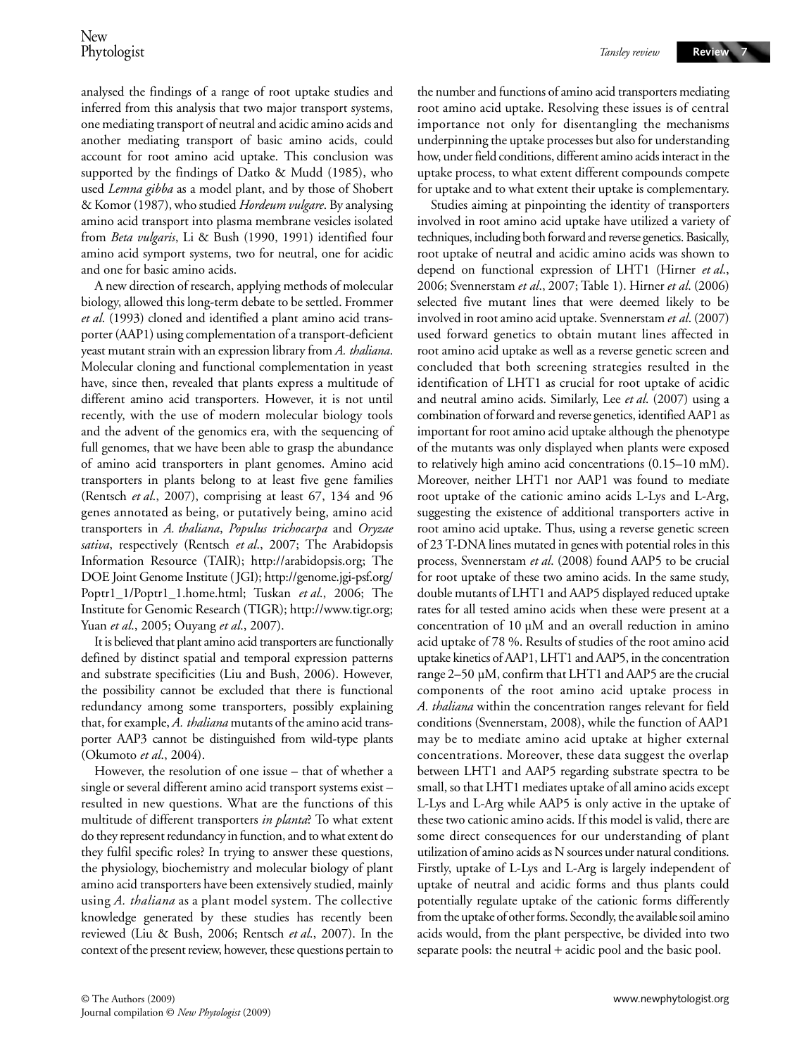analysed the findings of a range of root uptake studies and inferred from this analysis that two major transport systems, one mediating transport of neutral and acidic amino acids and another mediating transport of basic amino acids, could account for root amino acid uptake. This conclusion was supported by the findings of Datko & Mudd (1985), who used *Lemna gibba* as a model plant, and by those of Shobert & Komor (1987), who studied *Hordeum vulgare*. By analysing amino acid transport into plasma membrane vesicles isolated from *Beta vulgaris*, Li & Bush (1990, 1991) identified four amino acid symport systems, two for neutral, one for acidic and one for basic amino acids.

A new direction of research, applying methods of molecular biology, allowed this long-term debate to be settled. Frommer *et al*. (1993) cloned and identified a plant amino acid transporter (AAP1) using complementation of a transport-deficient yeast mutant strain with an expression library from *A. thaliana*. Molecular cloning and functional complementation in yeast have, since then, revealed that plants express a multitude of different amino acid transporters. However, it is not until recently, with the use of modern molecular biology tools and the advent of the genomics era, with the sequencing of full genomes, that we have been able to grasp the abundance of amino acid transporters in plant genomes. Amino acid transporters in plants belong to at least five gene families (Rentsch *et al*., 2007), comprising at least 67, 134 and 96 genes annotated as being, or putatively being, amino acid transporters in *A. thaliana*, *Populus trichocarpa* and *Oryzae sativa*, respectively (Rentsch *et al*., 2007; The Arabidopsis Information Resource (TAIR); [http://arabidopsis.org;](http://arabidopsis.org) The [DOE Joint Genome Institute \(JGI\); http://genome.jgi-psf.org/](http://genome.jgi-psf.org/Poptr1_1/Poptr1_1.home.html) Poptr1\_1/Poptr1\_1.home.html; Tuskan *et al*., 2006; The Institute for Genomic Research (TIGR); [http://www.tigr.org;](http://www.tigr.org) Yuan *et al*., 2005; Ouyang *et al*., 2007).

It is believed that plant amino acid transporters are functionally defined by distinct spatial and temporal expression patterns and substrate specificities (Liu and Bush, 2006). However, the possibility cannot be excluded that there is functional redundancy among some transporters, possibly explaining that, for example, *A. thaliana* mutants of the amino acid transporter AAP3 cannot be distinguished from wild-type plants (Okumoto *et al*., 2004).

However, the resolution of one issue – that of whether a single or several different amino acid transport systems exist – resulted in new questions. What are the functions of this multitude of different transporters *in planta*? To what extent do they represent redundancy in function, and to what extent do they fulfil specific roles? In trying to answer these questions, the physiology, biochemistry and molecular biology of plant amino acid transporters have been extensively studied, mainly using *A. thaliana* as a plant model system. The collective knowledge generated by these studies has recently been reviewed (Liu & Bush, 2006; Rentsch *et al*., 2007). In the context of the present review, however, these questions pertain to

the number and functions of amino acid transporters mediating root amino acid uptake. Resolving these issues is of central importance not only for disentangling the mechanisms underpinning the uptake processes but also for understanding how, under field conditions, different amino acids interact in the uptake process, to what extent different compounds compete for uptake and to what extent their uptake is complementary.

Studies aiming at pinpointing the identity of transporters involved in root amino acid uptake have utilized a variety of techniques, including both forward and reverse genetics. Basically, root uptake of neutral and acidic amino acids was shown to depend on functional expression of LHT1 (Hirner *et al*., 2006; Svennerstam *et al*., 2007; Table 1). Hirner *et al*. (2006) selected five mutant lines that were deemed likely to be involved in root amino acid uptake. Svennerstam *et al*. (2007) used forward genetics to obtain mutant lines affected in root amino acid uptake as well as a reverse genetic screen and concluded that both screening strategies resulted in the identification of LHT1 as crucial for root uptake of acidic and neutral amino acids. Similarly, Lee *et al*. (2007) using a combination of forward and reverse genetics, identified AAP1 as important for root amino acid uptake although the phenotype of the mutants was only displayed when plants were exposed to relatively high amino acid concentrations (0.15–10 mM). Moreover, neither LHT1 nor AAP1 was found to mediate root uptake of the cationic amino acids L-Lys and L-Arg, suggesting the existence of additional transporters active in root amino acid uptake. Thus, using a reverse genetic screen of 23 T-DNA lines mutated in genes with potential roles in this process, Svennerstam *et al*. (2008) found AAP5 to be crucial for root uptake of these two amino acids. In the same study, double mutants of LHT1 and AAP5 displayed reduced uptake rates for all tested amino acids when these were present at a concentration of 10 µM and an overall reduction in amino acid uptake of 78 %. Results of studies of the root amino acid uptake kinetics of AAP1, LHT1 and AAP5, in the concentration range 2–50 µM, confirm that LHT1 and AAP5 are the crucial components of the root amino acid uptake process in *A. thaliana* within the concentration ranges relevant for field conditions (Svennerstam, 2008), while the function of AAP1 may be to mediate amino acid uptake at higher external concentrations. Moreover, these data suggest the overlap between LHT1 and AAP5 regarding substrate spectra to be small, so that LHT1 mediates uptake of all amino acids except L-Lys and L-Arg while AAP5 is only active in the uptake of these two cationic amino acids. If this model is valid, there are some direct consequences for our understanding of plant utilization of amino acids as N sources under natural conditions. Firstly, uptake of L-Lys and L-Arg is largely independent of uptake of neutral and acidic forms and thus plants could potentially regulate uptake of the cationic forms differently from the uptake of other forms. Secondly, the available soil amino acids would, from the plant perspective, be divided into two separate pools: the neutral + acidic pool and the basic pool.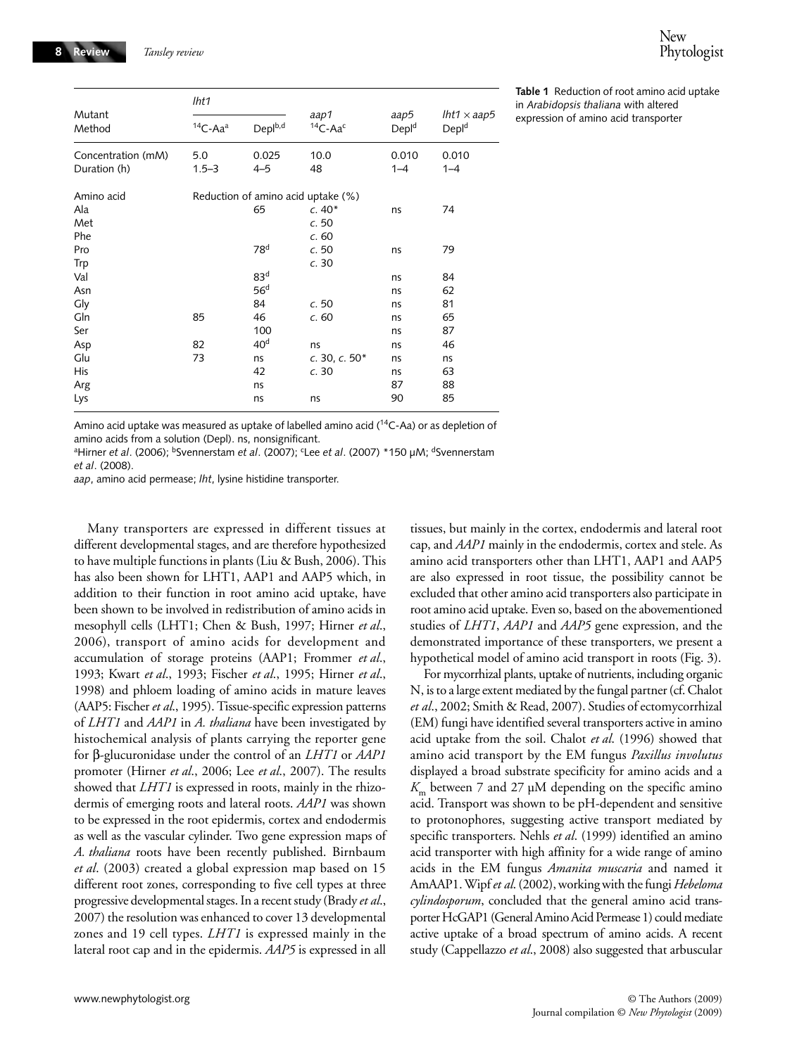|                    | lht1                               |                 | aap1<br>$14C$ -Aac | aap5<br>Depld | $lht1 \times aap5$<br>Depld |
|--------------------|------------------------------------|-----------------|--------------------|---------------|-----------------------------|
| Mutant<br>Method   | $14C$ -Aa $a$                      | $Depl^{b,d}$    |                    |               |                             |
| Concentration (mM) | 5.0                                | 0.025           | 10.0               | 0.010         | 0.010                       |
| Duration (h)       | $1.5 - 3$                          | $4 - 5$         | 48                 | $1 - 4$       | $1 - 4$                     |
| Amino acid         | Reduction of amino acid uptake (%) |                 |                    |               |                             |
| Ala                |                                    | 65              | $c.40*$            | ns            | 74                          |
| Met                |                                    |                 | c.50               |               |                             |
| Phe                |                                    |                 | c.60               |               |                             |
| Pro                |                                    | 78 <sup>d</sup> | c.50               | ns            | 79                          |
| Trp                |                                    |                 | c.30               |               |                             |
| Val                |                                    | 83 <sup>d</sup> |                    | ns            | 84                          |
| Asn                |                                    | 56 <sup>d</sup> |                    | ns            | 62                          |
| Gly                |                                    | 84              | c.50               | ns            | 81                          |
| Gln                | 85                                 | 46              | c.60               | ns            | 65                          |
| Ser                |                                    | 100             |                    | ns            | 87                          |
| Asp                | 82                                 | 40 <sup>d</sup> | ns                 | ns            | 46                          |
| Glu                | 73                                 | ns              | c. 30, c. $50*$    | ns            | ns                          |
| His                |                                    | 42              | c.30               | ns            | 63                          |
| Arg                |                                    | ns              |                    | 87            | 88                          |
| Lys                |                                    | ns              | ns                 | 90            | 85                          |

**Table 1** Reduction of root amino acid uptake in *Arabidopsis thaliana* with altered expression of amino acid transporter

Amino acid uptake was measured as uptake of labelled amino acid (<sup>14</sup>C-Aa) or as depletion of amino acids from a solution (Depl). ns, nonsignificant.

<sup>a</sup>Hirner *et al*. (2006); <sup>b</sup>Svennerstam *et al*. (2007); <sup>c</sup>Lee *et al*. (2007) \*150 µM; <sup>d</sup>Svennerstam *et al*. (2008).

*aap*, amino acid permease; *lht*, lysine histidine transporter.

Many transporters are expressed in different tissues at different developmental stages, and are therefore hypothesized to have multiple functions in plants (Liu & Bush, 2006). This has also been shown for LHT1, AAP1 and AAP5 which, in addition to their function in root amino acid uptake, have been shown to be involved in redistribution of amino acids in mesophyll cells (LHT1; Chen & Bush, 1997; Hirner *et al*., 2006), transport of amino acids for development and accumulation of storage proteins (AAP1; Frommer *et al*., 1993; Kwart *et al*., 1993; Fischer *et al*., 1995; Hirner *et al*., 1998) and phloem loading of amino acids in mature leaves (AAP5: Fischer *et al*., 1995). Tissue-specific expression patterns of *LHT1* and *AAP1* in *A. thaliana* have been investigated by histochemical analysis of plants carrying the reporter gene for β-glucuronidase under the control of an *LHT1* or *AAP1* promoter (Hirner *et al*., 2006; Lee *et al*., 2007). The results showed that *LHT1* is expressed in roots, mainly in the rhizodermis of emerging roots and lateral roots. *AAP1* was shown to be expressed in the root epidermis, cortex and endodermis as well as the vascular cylinder. Two gene expression maps of *A. thaliana* roots have been recently published. Birnbaum *et al*. (2003) created a global expression map based on 15 different root zones, corresponding to five cell types at three progressive developmental stages. In a recent study (Brady *et al*., 2007) the resolution was enhanced to cover 13 developmental zones and 19 cell types. *LHT1* is expressed mainly in the lateral root cap and in the epidermis. *AAP5* is expressed in all

tissues, but mainly in the cortex, endodermis and lateral root cap, and *AAP1* mainly in the endodermis, cortex and stele. As amino acid transporters other than LHT1, AAP1 and AAP5 are also expressed in root tissue, the possibility cannot be excluded that other amino acid transporters also participate in root amino acid uptake. Even so, based on the abovementioned studies of *LHT1*, *AAP1* and *AAP5* gene expression, and the demonstrated importance of these transporters, we present a hypothetical model of amino acid transport in roots (Fig. 3).

For mycorrhizal plants, uptake of nutrients, including organic N, is to a large extent mediated by the fungal partner (cf. Chalot *et al*., 2002; Smith & Read, 2007). Studies of ectomycorrhizal (EM) fungi have identified several transporters active in amino acid uptake from the soil. Chalot *et al*. (1996) showed that amino acid transport by the EM fungus *Paxillus involutus* displayed a broad substrate specificity for amino acids and a  $K<sub>m</sub>$  between 7 and 27  $\mu$ M depending on the specific amino acid. Transport was shown to be pH-dependent and sensitive to protonophores, suggesting active transport mediated by specific transporters. Nehls *et al*. (1999) identified an amino acid transporter with high affinity for a wide range of amino acids in the EM fungus *Amanita muscaria* and named it AmAAP1. Wipf *et al*. (2002), working with the fungi *Hebeloma cylindosporum*, concluded that the general amino acid transporter HcGAP1 (General Amino Acid Permease 1) could mediate active uptake of a broad spectrum of amino acids. A recent study (Cappellazzo *et al*., 2008) also suggested that arbuscular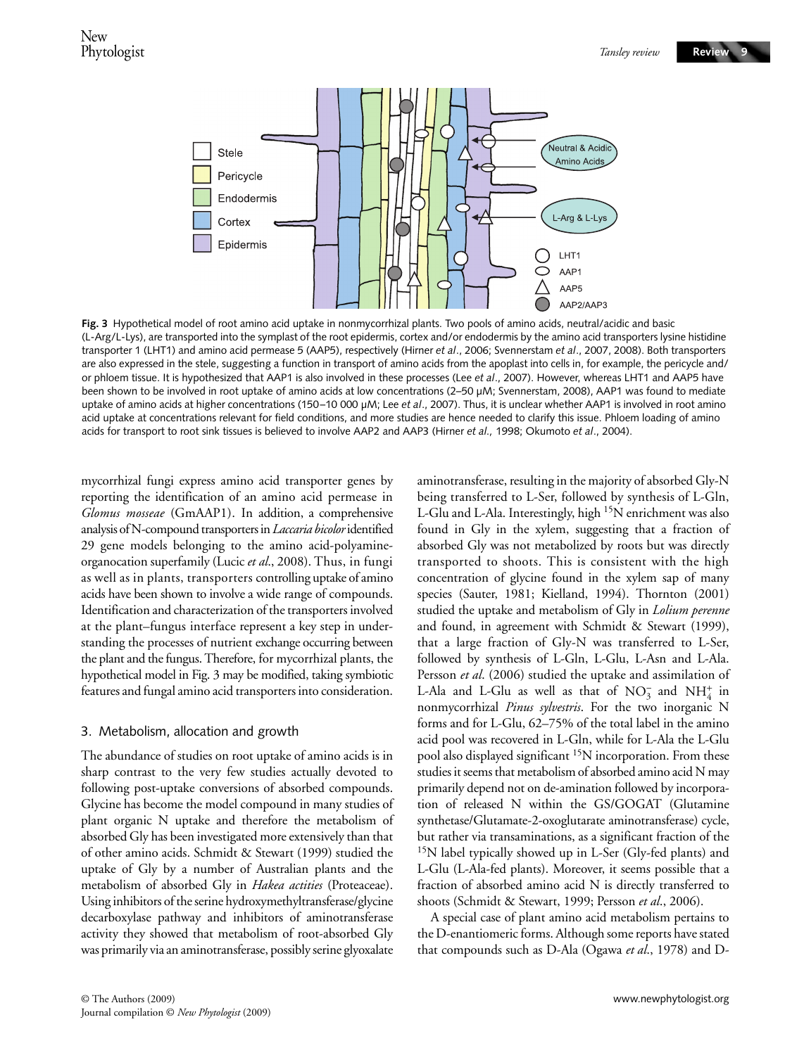

**Fig. 3** Hypothetical model of root amino acid uptake in nonmycorrhizal plants. Two pools of amino acids, neutral/acidic and basic (L-Arg/L-Lys), are transported into the symplast of the root epidermis, cortex and/or endodermis by the amino acid transporters lysine histidine transporter 1 (LHT1) and amino acid permease 5 (AAP5), respectively (Hirner *et al*., 2006; Svennerstam *et al*., 2007, 2008). Both transporters are also expressed in the stele, suggesting a function in transport of amino acids from the apoplast into cells in, for example, the pericycle and/ or phloem tissue. It is hypothesized that AAP1 is also involved in these processes (Lee *et al*., 2007). However, whereas LHT1 and AAP5 have been shown to be involved in root uptake of amino acids at low concentrations (2–50 µM; Svennerstam, 2008), AAP1 was found to mediate uptake of amino acids at higher concentrations (150–10 000 µM; Lee *et al*., 2007). Thus, it is unclear whether AAP1 is involved in root amino acid uptake at concentrations relevant for field conditions, and more studies are hence needed to clarify this issue. Phloem loading of amino acids for transport to root sink tissues is believed to involve AAP2 and AAP3 (Hirner *et al.,* 1998; Okumoto *et al*., 2004).

mycorrhizal fungi express amino acid transporter genes by reporting the identification of an amino acid permease in *Glomus mosseae* (GmAAP1). In addition, a comprehensive analysis of N-compound transporters in *Laccaria bicolor* identified 29 gene models belonging to the amino acid-polyamineorganocation superfamily (Lucic *et al*., 2008). Thus, in fungi as well as in plants, transporters controlling uptake of amino acids have been shown to involve a wide range of compounds. Identification and characterization of the transporters involved at the plant–fungus interface represent a key step in understanding the processes of nutrient exchange occurring between the plant and the fungus. Therefore, for mycorrhizal plants, the hypothetical model in Fig. 3 may be modified, taking symbiotic features and fungal amino acid transporters into consideration.

#### 3. Metabolism, allocation and growth

The abundance of studies on root uptake of amino acids is in sharp contrast to the very few studies actually devoted to following post-uptake conversions of absorbed compounds. Glycine has become the model compound in many studies of plant organic N uptake and therefore the metabolism of absorbed Gly has been investigated more extensively than that of other amino acids. Schmidt & Stewart (1999) studied the uptake of Gly by a number of Australian plants and the metabolism of absorbed Gly in *Hakea actities* (Proteaceae). Using inhibitors of the serine hydroxymethyltransferase/glycine decarboxylase pathway and inhibitors of aminotransferase activity they showed that metabolism of root-absorbed Gly was primarily via an aminotransferase, possibly serine glyoxalate

aminotransferase, resulting in the majority of absorbed Gly-N being transferred to L-Ser, followed by synthesis of L-Gln, L-Glu and L-Ala. Interestingly, high <sup>15</sup>N enrichment was also found in Gly in the xylem, suggesting that a fraction of absorbed Gly was not metabolized by roots but was directly transported to shoots. This is consistent with the high concentration of glycine found in the xylem sap of many species (Sauter, 1981; Kielland, 1994). Thornton (2001) studied the uptake and metabolism of Gly in *Lolium perenne* and found, in agreement with Schmidt & Stewart (1999), that a large fraction of Gly-N was transferred to L-Ser, followed by synthesis of L-Gln, L-Glu, L-Asn and L-Ala. Persson *et al*. (2006) studied the uptake and assimilation of L-Ala and L-Glu as well as that of  $NO_3^-$  and  $NH_4^+$  in nonmycorrhizal *Pinus sylvestris*. For the two inorganic N forms and for L-Glu, 62–75% of the total label in the amino acid pool was recovered in L-Gln, while for L-Ala the L-Glu pool also displayed significant  ${}^{15}N$  incorporation. From these studies it seems that metabolism of absorbed amino acid N may primarily depend not on de-amination followed by incorporation of released N within the GS/GOGAT (Glutamine synthetase/Glutamate-2-oxoglutarate aminotransferase) cycle, but rather via transaminations, as a significant fraction of the <sup>15</sup>N label typically showed up in L-Ser (Gly-fed plants) and L-Glu (L-Ala-fed plants). Moreover, it seems possible that a fraction of absorbed amino acid N is directly transferred to shoots (Schmidt & Stewart, 1999; Persson *et al*., 2006).

A special case of plant amino acid metabolism pertains to the D-enantiomeric forms. Although some reports have stated that compounds such as D-Ala (Ogawa *et al*., 1978) and D-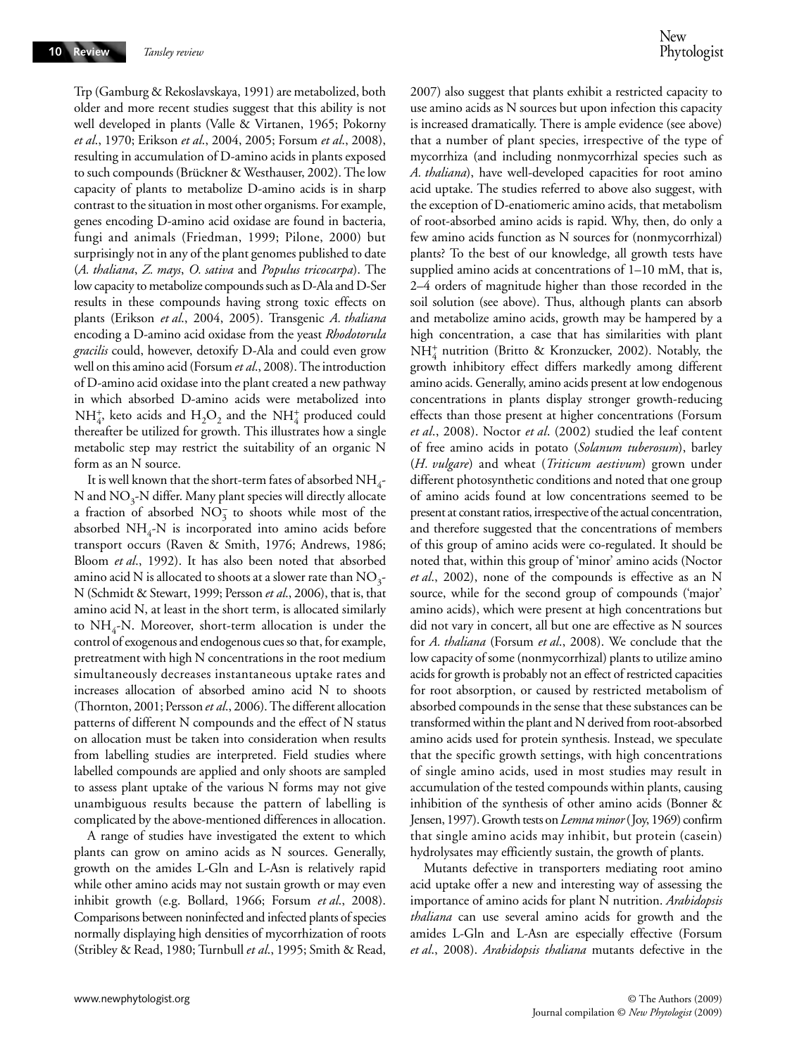Trp (Gamburg & Rekoslavskaya, 1991) are metabolized, both older and more recent studies suggest that this ability is not well developed in plants (Valle & Virtanen, 1965; Pokorny *et al*., 1970; Erikson *et al*., 2004, 2005; Forsum *et al*., 2008), resulting in accumulation of D-amino acids in plants exposed to such compounds (Brückner & Westhauser, 2002). The low capacity of plants to metabolize D-amino acids is in sharp contrast to the situation in most other organisms. For example, genes encoding D-amino acid oxidase are found in bacteria, fungi and animals (Friedman, 1999; Pilone, 2000) but surprisingly not in any of the plant genomes published to date (*A. thaliana*, *Z. mays*, *O. sativa* and *Populus tricocarpa*). The low capacity to metabolize compounds such as D-Ala and D-Ser results in these compounds having strong toxic effects on plants (Erikson *et al*., 2004, 2005). Transgenic *A. thaliana* encoding a D-amino acid oxidase from the yeast *Rhodotorula gracilis* could, however, detoxify D-Ala and could even grow well on this amino acid (Forsum *et al*., 2008). The introduction of D-amino acid oxidase into the plant created a new pathway in which absorbed D-amino acids were metabolized into  $NH_4^+$ , keto acids and  $H_2O_2$  and the  $NH_4^+$  produced could thereafter be utilized for growth. This illustrates how a single metabolic step may restrict the suitability of an organic N form as an N source.

It is well known that the short-term fates of absorbed  $NH_{4}$ -N and  $NO<sub>3</sub>$ -N differ. Many plant species will directly allocate a fraction of absorbed  $NO_3^-$  to shoots while most of the absorbed  $NH_4-N$  is incorporated into amino acids before transport occurs (Raven & Smith, 1976; Andrews, 1986; Bloom *et al*., 1992). It has also been noted that absorbed amino acid N is allocated to shoots at a slower rate than  $NO<sub>3</sub>$ -N (Schmidt & Stewart, 1999; Persson *et al*., 2006), that is, that amino acid N, at least in the short term, is allocated similarly to  $NH_4$ -N. Moreover, short-term allocation is under the control of exogenous and endogenous cues so that, for example, pretreatment with high N concentrations in the root medium simultaneously decreases instantaneous uptake rates and increases allocation of absorbed amino acid N to shoots (Thornton, 2001; Persson *et al*., 2006). The different allocation patterns of different N compounds and the effect of N status on allocation must be taken into consideration when results from labelling studies are interpreted. Field studies where labelled compounds are applied and only shoots are sampled to assess plant uptake of the various N forms may not give unambiguous results because the pattern of labelling is complicated by the above-mentioned differences in allocation.

A range of studies have investigated the extent to which plants can grow on amino acids as N sources. Generally, growth on the amides L-Gln and L-Asn is relatively rapid while other amino acids may not sustain growth or may even inhibit growth (e.g. Bollard, 1966; Forsum *et al*., 2008). Comparisons between noninfected and infected plants of species normally displaying high densities of mycorrhization of roots (Stribley & Read, 1980; Turnbull *et al*., 1995; Smith & Read,

2007) also suggest that plants exhibit a restricted capacity to use amino acids as N sources but upon infection this capacity is increased dramatically. There is ample evidence (see above) that a number of plant species, irrespective of the type of mycorrhiza (and including nonmycorrhizal species such as *A. thaliana*), have well-developed capacities for root amino acid uptake. The studies referred to above also suggest, with the exception of D-enatiomeric amino acids, that metabolism of root-absorbed amino acids is rapid. Why, then, do only a few amino acids function as N sources for (nonmycorrhizal) plants? To the best of our knowledge, all growth tests have supplied amino acids at concentrations of 1–10 mM, that is, 2–4 orders of magnitude higher than those recorded in the soil solution (see above). Thus, although plants can absorb and metabolize amino acids, growth may be hampered by a high concentration, a case that has similarities with plant NH<sup>+</sup><sub>4</sub> nutrition (Britto & Kronzucker, 2002). Notably, the growth inhibitory effect differs markedly among different amino acids. Generally, amino acids present at low endogenous concentrations in plants display stronger growth-reducing effects than those present at higher concentrations (Forsum *et al*., 2008). Noctor *et al*. (2002) studied the leaf content of free amino acids in potato (*Solanum tuberosum*), barley (*H. vulgare*) and wheat (*Triticum aestivum*) grown under different photosynthetic conditions and noted that one group of amino acids found at low concentrations seemed to be present at constant ratios, irrespective of the actual concentration, and therefore suggested that the concentrations of members of this group of amino acids were co-regulated. It should be noted that, within this group of 'minor' amino acids (Noctor *et al*., 2002), none of the compounds is effective as an N source, while for the second group of compounds ('major' amino acids), which were present at high concentrations but did not vary in concert, all but one are effective as N sources for *A. thaliana* (Forsum *et al*., 2008). We conclude that the low capacity of some (nonmycorrhizal) plants to utilize amino acids for growth is probably not an effect of restricted capacities for root absorption, or caused by restricted metabolism of absorbed compounds in the sense that these substances can be transformed within the plant and N derived from root-absorbed amino acids used for protein synthesis. Instead, we speculate that the specific growth settings, with high concentrations of single amino acids, used in most studies may result in accumulation of the tested compounds within plants, causing inhibition of the synthesis of other amino acids (Bonner & Jensen, 1997). Growth tests on *Lemna minor* (Joy, 1969) confirm that single amino acids may inhibit, but protein (casein) hydrolysates may efficiently sustain, the growth of plants.

Mutants defective in transporters mediating root amino acid uptake offer a new and interesting way of assessing the importance of amino acids for plant N nutrition. *Arabidopsis thaliana* can use several amino acids for growth and the amides L-Gln and L-Asn are especially effective (Forsum *et al*., 2008). *Arabidopsis thaliana* mutants defective in the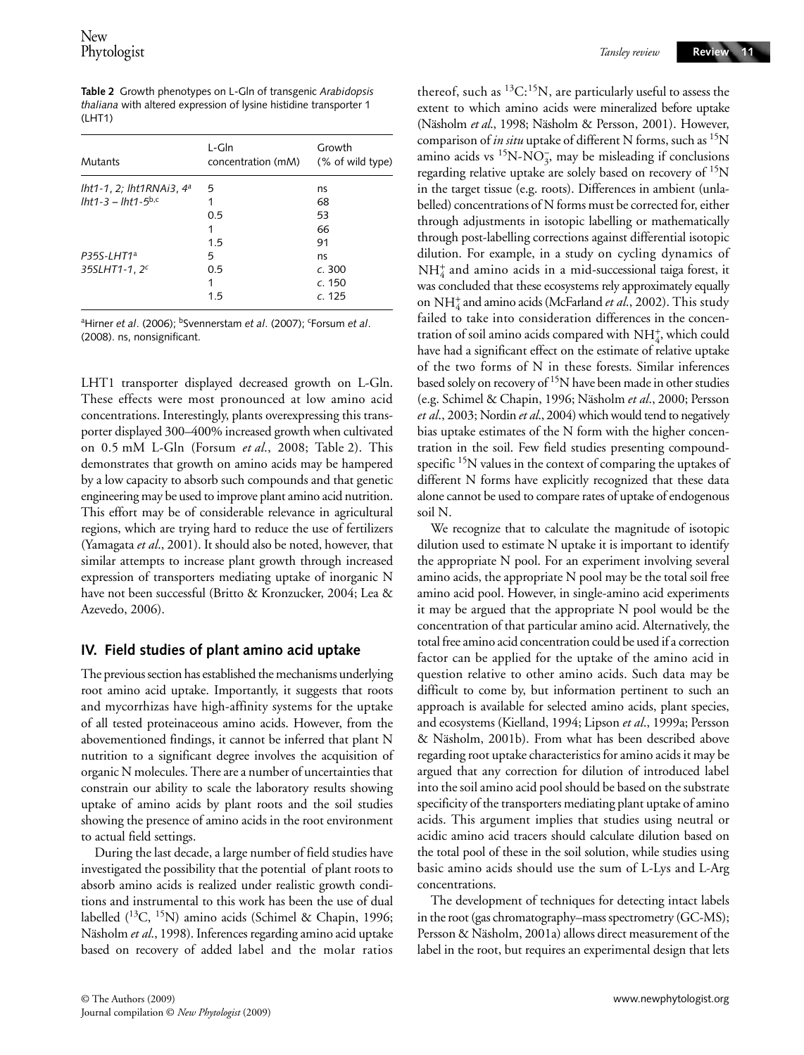**Table 2** Growth phenotypes on L-Gln of transgenic *Arabidopsis thaliana* with altered expression of lysine histidine transporter 1 (LHT1)

| <b>Mutants</b>            | L-Gln<br>concentration (mM) | Growth<br>(% of wild type) |
|---------------------------|-----------------------------|----------------------------|
| Iht1-1, 2; Iht1RNAi3, 4ª  | 5                           | ns                         |
| $lht1-3 - lht1-5^{b,c}$   | 1                           | 68                         |
|                           | 0.5                         | 53                         |
|                           | 1                           | 66                         |
|                           | 1.5                         | 91                         |
| P35S-LHT1ª                | 5                           | ns                         |
| 35SLHT1-1, 2 <sup>c</sup> | 0.5                         | c.300                      |
|                           | 1                           | c.150                      |
|                           | 1.5                         | c.125                      |

<sup>a</sup>Hirner *et al*. (2006); <sup>b</sup>Svennerstam *et al*. (2007); <sup>c</sup>Forsum *et al*. (2008). ns, nonsignificant.

LHT1 transporter displayed decreased growth on L-Gln. These effects were most pronounced at low amino acid concentrations. Interestingly, plants overexpressing this transporter displayed 300–400% increased growth when cultivated on 0.5 mM L-Gln (Forsum *et al*., 2008; Table 2). This demonstrates that growth on amino acids may be hampered by a low capacity to absorb such compounds and that genetic engineering may be used to improve plant amino acid nutrition. This effort may be of considerable relevance in agricultural regions, which are trying hard to reduce the use of fertilizers (Yamagata *et al*., 2001). It should also be noted, however, that similar attempts to increase plant growth through increased expression of transporters mediating uptake of inorganic N have not been successful (Britto & Kronzucker, 2004; Lea & Azevedo, 2006).

## **IV. Field studies of plant amino acid uptake**

The previous section has established the mechanisms underlying root amino acid uptake. Importantly, it suggests that roots and mycorrhizas have high-affinity systems for the uptake of all tested proteinaceous amino acids. However, from the abovementioned findings, it cannot be inferred that plant N nutrition to a significant degree involves the acquisition of organic N molecules. There are a number of uncertainties that constrain our ability to scale the laboratory results showing uptake of amino acids by plant roots and the soil studies showing the presence of amino acids in the root environment to actual field settings.

During the last decade, a large number of field studies have investigated the possibility that the potential of plant roots to absorb amino acids is realized under realistic growth conditions and instrumental to this work has been the use of dual labelled (<sup>13</sup>C, <sup>15</sup>N) amino acids (Schimel & Chapin, 1996; Näsholm *et al*., 1998). Inferences regarding amino acid uptake based on recovery of added label and the molar ratios

thereof, such as  ${}^{13}C$ :<sup>15</sup>N, are particularly useful to assess the extent to which amino acids were mineralized before uptake (Näsholm *et al*., 1998; Näsholm & Persson, 2001). However, comparison of *in situ* uptake of different N forms, such as <sup>15</sup>N amino acids vs  ${}^{15}N\text{-}NO_3^-$ , may be misleading if conclusions regarding relative uptake are solely based on recovery of <sup>15</sup>N in the target tissue (e.g. roots). Differences in ambient (unlabelled) concentrations of N forms must be corrected for, either through adjustments in isotopic labelling or mathematically through post-labelling corrections against differential isotopic dilution. For example, in a study on cycling dynamics of  $NH<sub>4</sub><sup>+</sup>$  and amino acids in a mid-successional taiga forest, it was concluded that these ecosystems rely approximately equally on NH<sup>+</sup><sub>4</sub> and amino acids (McFarland *et al.*, 2002). This study failed to take into consideration differences in the concentration of soil amino acids compared with  $\mathrm{NH}_4^+$ , which could have had a significant effect on the estimate of relative uptake of the two forms of N in these forests. Similar inferences based solely on recovery of <sup>15</sup>N have been made in other studies (e.g. Schimel & Chapin, 1996; Näsholm *et al*., 2000; Persson *et al*., 2003; Nordin *et al*., 2004) which would tend to negatively bias uptake estimates of the N form with the higher concentration in the soil. Few field studies presenting compoundspecific  $15N$  values in the context of comparing the uptakes of different N forms have explicitly recognized that these data alone cannot be used to compare rates of uptake of endogenous soil N.

We recognize that to calculate the magnitude of isotopic dilution used to estimate N uptake it is important to identify the appropriate N pool. For an experiment involving several amino acids, the appropriate N pool may be the total soil free amino acid pool. However, in single-amino acid experiments it may be argued that the appropriate N pool would be the concentration of that particular amino acid. Alternatively, the total free amino acid concentration could be used if a correction factor can be applied for the uptake of the amino acid in question relative to other amino acids. Such data may be difficult to come by, but information pertinent to such an approach is available for selected amino acids, plant species, and ecosystems (Kielland, 1994; Lipson *et al*., 1999a; Persson & Näsholm, 2001b). From what has been described above regarding root uptake characteristics for amino acids it may be argued that any correction for dilution of introduced label into the soil amino acid pool should be based on the substrate specificity of the transporters mediating plant uptake of amino acids. This argument implies that studies using neutral or acidic amino acid tracers should calculate dilution based on the total pool of these in the soil solution, while studies using basic amino acids should use the sum of L-Lys and L-Arg concentrations.

The development of techniques for detecting intact labels in the root (gas chromatography–mass spectrometry (GC-MS); Persson & Näsholm, 2001a) allows direct measurement of the label in the root, but requires an experimental design that lets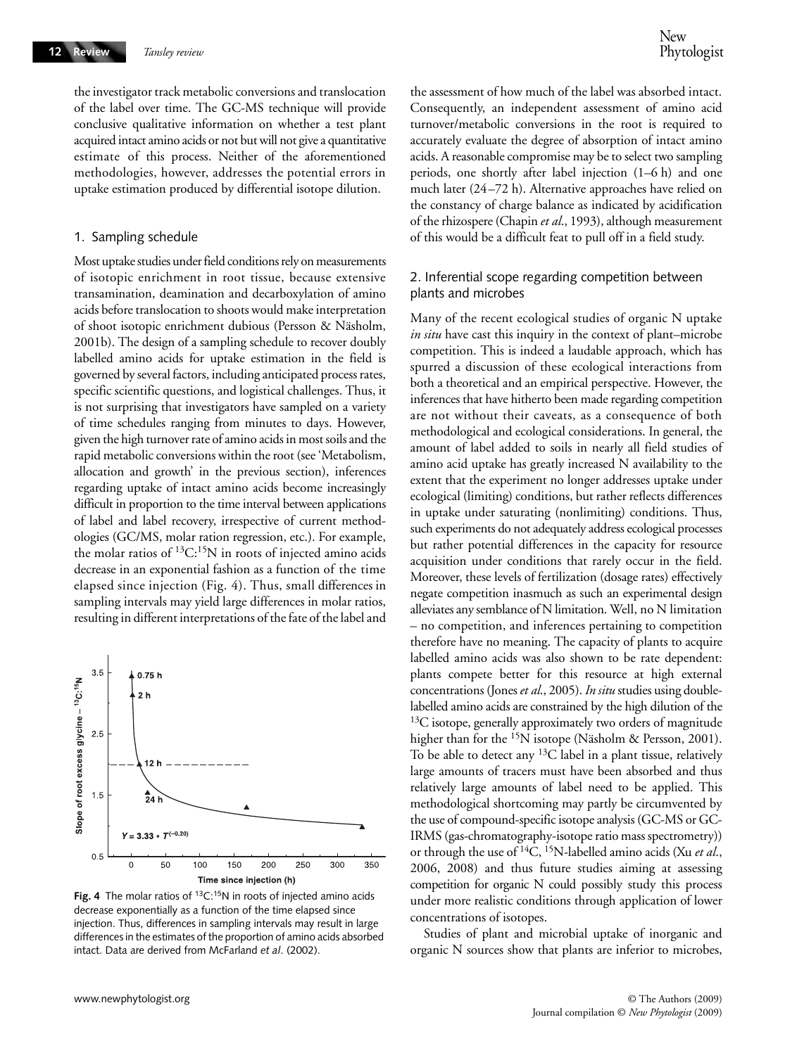the investigator track metabolic conversions and translocation of the label over time. The GC-MS technique will provide conclusive qualitative information on whether a test plant acquired intact amino acids or not but will not give a quantitative estimate of this process. Neither of the aforementioned methodologies, however, addresses the potential errors in uptake estimation produced by differential isotope dilution.

#### 1. Sampling schedule

Most uptake studies under field conditions rely on measurements of isotopic enrichment in root tissue, because extensive transamination, deamination and decarboxylation of amino acids before translocation to shoots would make interpretation of shoot isotopic enrichment dubious (Persson & Näsholm, 2001b). The design of a sampling schedule to recover doubly labelled amino acids for uptake estimation in the field is governed by several factors, including anticipated process rates, specific scientific questions, and logistical challenges. Thus, it is not surprising that investigators have sampled on a variety of time schedules ranging from minutes to days. However, given the high turnover rate of amino acids in most soils and the rapid metabolic conversions within the root (see 'Metabolism, allocation and growth' in the previous section), inferences regarding uptake of intact amino acids become increasingly difficult in proportion to the time interval between applications of label and label recovery, irrespective of current methodologies (GC/MS, molar ration regression, etc.). For example, the molar ratios of  ${}^{13}C:{}^{15}N$  in roots of injected amino acids decrease in an exponential fashion as a function of the time elapsed since injection (Fig. 4). Thus, small differences in sampling intervals may yield large differences in molar ratios, resulting in different interpretations of the fate of the label and



**Fig. 4** The molar ratios of <sup>13</sup>C:<sup>15</sup>N in roots of injected amino acids decrease exponentially as a function of the time elapsed since injection. Thus, differences in sampling intervals may result in large differences in the estimates of the proportion of amino acids absorbed intact. Data are derived from McFarland *et al*. (2002).

the assessment of how much of the label was absorbed intact. Consequently, an independent assessment of amino acid turnover/metabolic conversions in the root is required to accurately evaluate the degree of absorption of intact amino acids. A reasonable compromise may be to select two sampling periods, one shortly after label injection (1–6 h) and one much later (24–72 h). Alternative approaches have relied on the constancy of charge balance as indicated by acidification of the rhizospere (Chapin *et al*., 1993), although measurement of this would be a difficult feat to pull off in a field study.

### 2. Inferential scope regarding competition between plants and microbes

Many of the recent ecological studies of organic N uptake *in situ* have cast this inquiry in the context of plant–microbe competition. This is indeed a laudable approach, which has spurred a discussion of these ecological interactions from both a theoretical and an empirical perspective. However, the inferences that have hitherto been made regarding competition are not without their caveats, as a consequence of both methodological and ecological considerations. In general, the amount of label added to soils in nearly all field studies of amino acid uptake has greatly increased N availability to the extent that the experiment no longer addresses uptake under ecological (limiting) conditions, but rather reflects differences in uptake under saturating (nonlimiting) conditions. Thus, such experiments do not adequately address ecological processes but rather potential differences in the capacity for resource acquisition under conditions that rarely occur in the field. Moreover, these levels of fertilization (dosage rates) effectively negate competition inasmuch as such an experimental design alleviates any semblance of N limitation. Well, no N limitation – no competition, and inferences pertaining to competition therefore have no meaning. The capacity of plants to acquire labelled amino acids was also shown to be rate dependent: plants compete better for this resource at high external concentrations (Jones *et al*., 2005). *In situ* studies using doublelabelled amino acids are constrained by the high dilution of the  $13C$  isotope, generally approximately two orders of magnitude higher than for the <sup>15</sup>N isotope (Näsholm & Persson, 2001). To be able to detect any  ${}^{13}$ C label in a plant tissue, relatively large amounts of tracers must have been absorbed and thus relatively large amounts of label need to be applied. This methodological shortcoming may partly be circumvented by the use of compound-specific isotope analysis (GC-MS or GC-IRMS (gas-chromatography-isotope ratio mass spectrometry)) or through the use of 14C, 15N-labelled amino acids (Xu *et al*., 2006, 2008) and thus future studies aiming at assessing competition for organic N could possibly study this process under more realistic conditions through application of lower concentrations of isotopes.

Studies of plant and microbial uptake of inorganic and organic N sources show that plants are inferior to microbes,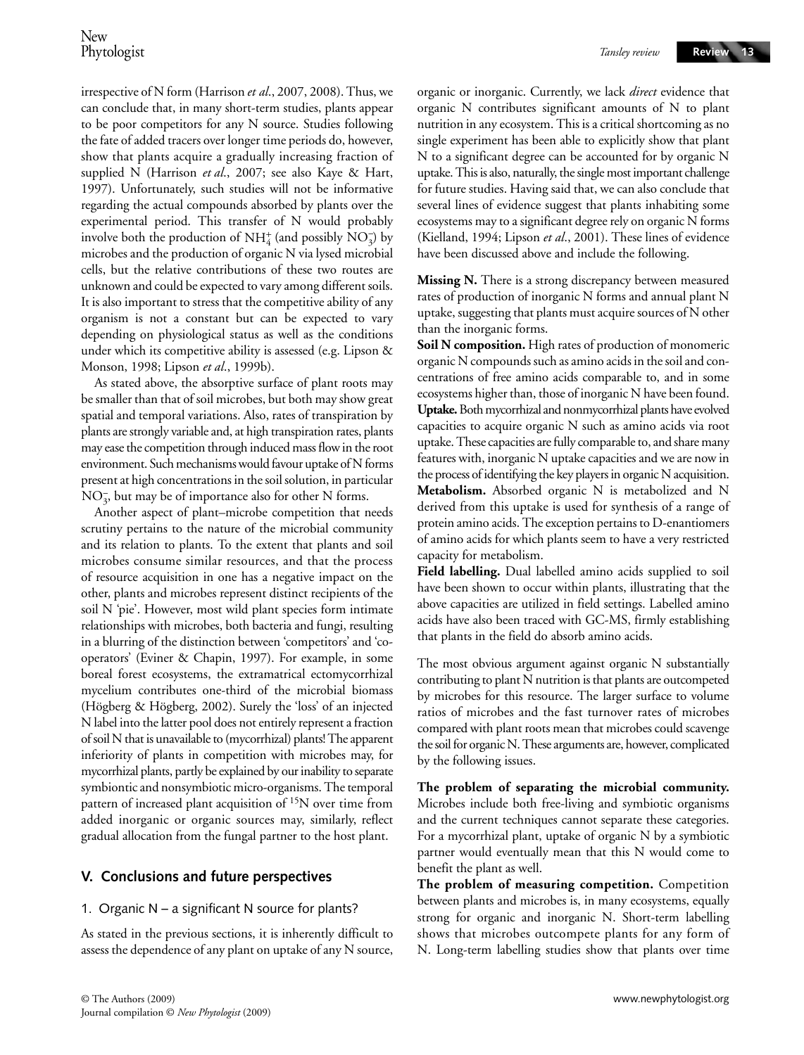irrespective of N form (Harrison *et al*., 2007, 2008). Thus, we can conclude that, in many short-term studies, plants appear to be poor competitors for any N source. Studies following the fate of added tracers over longer time periods do, however, show that plants acquire a gradually increasing fraction of supplied N (Harrison *et al*., 2007; see also Kaye & Hart, 1997). Unfortunately, such studies will not be informative regarding the actual compounds absorbed by plants over the experimental period. This transfer of N would probably involve both the production of  $NH_4^+$  (and possibly  $NO_3^-$ ) by microbes and the production of organic N via lysed microbial cells, but the relative contributions of these two routes are unknown and could be expected to vary among different soils. It is also important to stress that the competitive ability of any organism is not a constant but can be expected to vary depending on physiological status as well as the conditions under which its competitive ability is assessed (e.g. Lipson & Monson, 1998; Lipson *et al*., 1999b).

As stated above, the absorptive surface of plant roots may be smaller than that of soil microbes, but both may show great spatial and temporal variations. Also, rates of transpiration by plants are strongly variable and, at high transpiration rates, plants may ease the competition through induced mass flow in the root environment. Such mechanisms would favour uptake of N forms present at high concentrations in the soil solution, in particular  $NO<sub>3</sub>$ , but may be of importance also for other N forms.

Another aspect of plant–microbe competition that needs scrutiny pertains to the nature of the microbial community and its relation to plants. To the extent that plants and soil microbes consume similar resources, and that the process of resource acquisition in one has a negative impact on the other, plants and microbes represent distinct recipients of the soil N 'pie'. However, most wild plant species form intimate relationships with microbes, both bacteria and fungi, resulting in a blurring of the distinction between 'competitors' and 'cooperators' (Eviner & Chapin, 1997). For example, in some boreal forest ecosystems, the extramatrical ectomycorrhizal mycelium contributes one-third of the microbial biomass (Högberg & Högberg, 2002). Surely the 'loss' of an injected N label into the latter pool does not entirely represent a fraction of soil N that is unavailable to (mycorrhizal) plants! The apparent inferiority of plants in competition with microbes may, for mycorrhizal plants, partly be explained by our inability to separate symbiontic and nonsymbiotic micro-organisms. The temporal pattern of increased plant acquisition of <sup>15</sup>N over time from added inorganic or organic sources may, similarly, reflect gradual allocation from the fungal partner to the host plant.

## **V. Conclusions and future perspectives**

## 1. Organic N – a significant N source for plants?

As stated in the previous sections, it is inherently difficult to assess the dependence of any plant on uptake of any N source, organic or inorganic. Currently, we lack *direct* evidence that organic N contributes significant amounts of N to plant nutrition in any ecosystem. This is a critical shortcoming as no single experiment has been able to explicitly show that plant N to a significant degree can be accounted for by organic N uptake. This is also, naturally, the single most important challenge for future studies. Having said that, we can also conclude that several lines of evidence suggest that plants inhabiting some ecosystems may to a significant degree rely on organic N forms (Kielland, 1994; Lipson *et al*., 2001). These lines of evidence have been discussed above and include the following.

**Missing N.** There is a strong discrepancy between measured rates of production of inorganic N forms and annual plant N uptake, suggesting that plants must acquire sources of N other than the inorganic forms.

**Soil N composition.** High rates of production of monomeric organic N compounds such as amino acids in the soil and concentrations of free amino acids comparable to, and in some ecosystems higher than, those of inorganic N have been found. **Uptake.** Both mycorrhizal and nonmycorrhizal plants have evolved capacities to acquire organic N such as amino acids via root uptake. These capacities are fully comparable to, and share many features with, inorganic N uptake capacities and we are now in the process of identifying the key players in organic N acquisition. **Metabolism.** Absorbed organic N is metabolized and N derived from this uptake is used for synthesis of a range of protein amino acids. The exception pertains to D-enantiomers of amino acids for which plants seem to have a very restricted capacity for metabolism.

**Field labelling.** Dual labelled amino acids supplied to soil have been shown to occur within plants, illustrating that the above capacities are utilized in field settings. Labelled amino acids have also been traced with GC-MS, firmly establishing that plants in the field do absorb amino acids.

The most obvious argument against organic N substantially contributing to plant N nutrition is that plants are outcompeted by microbes for this resource. The larger surface to volume ratios of microbes and the fast turnover rates of microbes compared with plant roots mean that microbes could scavenge the soil for organic N. These arguments are, however, complicated by the following issues.

**The problem of separating the microbial community.** Microbes include both free-living and symbiotic organisms and the current techniques cannot separate these categories. For a mycorrhizal plant, uptake of organic N by a symbiotic partner would eventually mean that this N would come to benefit the plant as well.

**The problem of measuring competition.** Competition between plants and microbes is, in many ecosystems, equally strong for organic and inorganic N. Short-term labelling shows that microbes outcompete plants for any form of N. Long-term labelling studies show that plants over time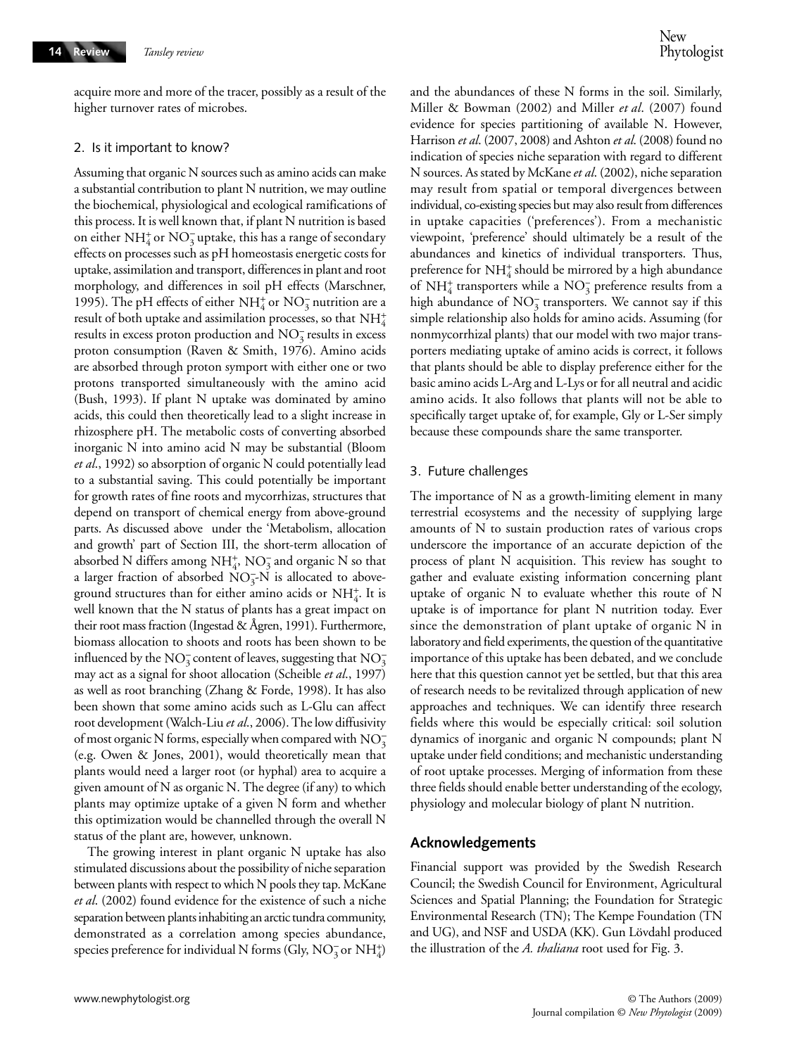acquire more and more of the tracer, possibly as a result of the higher turnover rates of microbes.

#### 2. Is it important to know?

Assuming that organic N sources such as amino acids can make a substantial contribution to plant N nutrition, we may outline the biochemical, physiological and ecological ramifications of this process. It is well known that, if plant N nutrition is based on either  $NH_4^+$  or  $NO_3^-$  uptake, this has a range of secondary effects on processes such as pH homeostasis energetic costs for uptake, assimilation and transport, differences in plant and root morphology, and differences in soil pH effects (Marschner, 1995). The pH effects of either  $NH_4^+$  or  $NO_3^-$  nutrition are a result of both uptake and assimilation processes, so that  $\mathrm{NH}_4^+$ results in excess proton production and  $\rm NO_3^-$  results in excess proton consumption (Raven & Smith, 1976). Amino acids are absorbed through proton symport with either one or two protons transported simultaneously with the amino acid (Bush, 1993). If plant N uptake was dominated by amino acids, this could then theoretically lead to a slight increase in rhizosphere pH. The metabolic costs of converting absorbed inorganic N into amino acid N may be substantial (Bloom *et al*., 1992) so absorption of organic N could potentially lead to a substantial saving. This could potentially be important for growth rates of fine roots and mycorrhizas, structures that depend on transport of chemical energy from above-ground parts. As discussed above under the 'Metabolism, allocation and growth' part of Section III, the short-term allocation of absorbed N differs among  $NH_4^+$ ,  $NO_3^-$  and organic N so that a larger fraction of absorbed  $\overline{NO_3^-N}$  is allocated to aboveground structures than for either amino acids or  $NH_4^+$ . It is well known that the N status of plants has a great impact on their root mass fraction (Ingestad & Ågren, 1991). Furthermore, biomass allocation to shoots and roots has been shown to be influenced by the  $\rm NO_3^-$  content of leaves, suggesting that  $\rm NO_3^$ may act as a signal for shoot allocation (Scheible *et al*., 1997) as well as root branching (Zhang & Forde, 1998). It has also been shown that some amino acids such as L-Glu can affect root development (Walch-Liu *et al*., 2006). The low diffusivity of most organic N forms, especially when compared with  $\rm NO_3^-$ (e.g. Owen & Jones, 2001), would theoretically mean that plants would need a larger root (or hyphal) area to acquire a given amount of N as organic N. The degree (if any) to which plants may optimize uptake of a given N form and whether this optimization would be channelled through the overall N status of the plant are, however, unknown.

The growing interest in plant organic N uptake has also stimulated discussions about the possibility of niche separation between plants with respect to which N pools they tap. McKane *et al*. (2002) found evidence for the existence of such a niche separation between plants inhabiting an arctic tundra community, demonstrated as a correlation among species abundance, species preference for individual N forms (Gly,  $\rm NO_3^-$  or  $\rm NH_4^+$ )

and the abundances of these N forms in the soil. Similarly, Miller & Bowman (2002) and Miller *et al*. (2007) found evidence for species partitioning of available N. However, Harrison *et al*. (2007, 2008) and Ashton *et al*. (2008) found no indication of species niche separation with regard to different N sources. As stated by McKane *et al*. (2002), niche separation may result from spatial or temporal divergences between individual, co-existing species but may also result from differences in uptake capacities ('preferences'). From a mechanistic viewpoint, 'preference' should ultimately be a result of the abundances and kinetics of individual transporters. Thus, preference for  $NH_4^+$  should be mirrored by a high abundance of NH<sup>+</sup><sub>4</sub> transporters while a NO<sub>3</sub> preference results from a high abundance of  $NO_3^-$  transporters. We cannot say if this simple relationship also holds for amino acids. Assuming (for nonmycorrhizal plants) that our model with two major transporters mediating uptake of amino acids is correct, it follows that plants should be able to display preference either for the basic amino acids L-Arg and L-Lys or for all neutral and acidic amino acids. It also follows that plants will not be able to specifically target uptake of, for example, Gly or L-Ser simply because these compounds share the same transporter.

#### 3. Future challenges

The importance of N as a growth-limiting element in many terrestrial ecosystems and the necessity of supplying large amounts of N to sustain production rates of various crops underscore the importance of an accurate depiction of the process of plant N acquisition. This review has sought to gather and evaluate existing information concerning plant uptake of organic N to evaluate whether this route of N uptake is of importance for plant N nutrition today. Ever since the demonstration of plant uptake of organic N in laboratory and field experiments, the question of the quantitative importance of this uptake has been debated, and we conclude here that this question cannot yet be settled, but that this area of research needs to be revitalized through application of new approaches and techniques. We can identify three research fields where this would be especially critical: soil solution dynamics of inorganic and organic N compounds; plant N uptake under field conditions; and mechanistic understanding of root uptake processes. Merging of information from these three fields should enable better understanding of the ecology, physiology and molecular biology of plant N nutrition.

#### **Acknowledgements**

Financial support was provided by the Swedish Research Council; the Swedish Council for Environment, Agricultural Sciences and Spatial Planning; the Foundation for Strategic Environmental Research (TN); The Kempe Foundation (TN and UG), and NSF and USDA (KK). Gun Lövdahl produced the illustration of the *A. thaliana* root used for Fig. 3.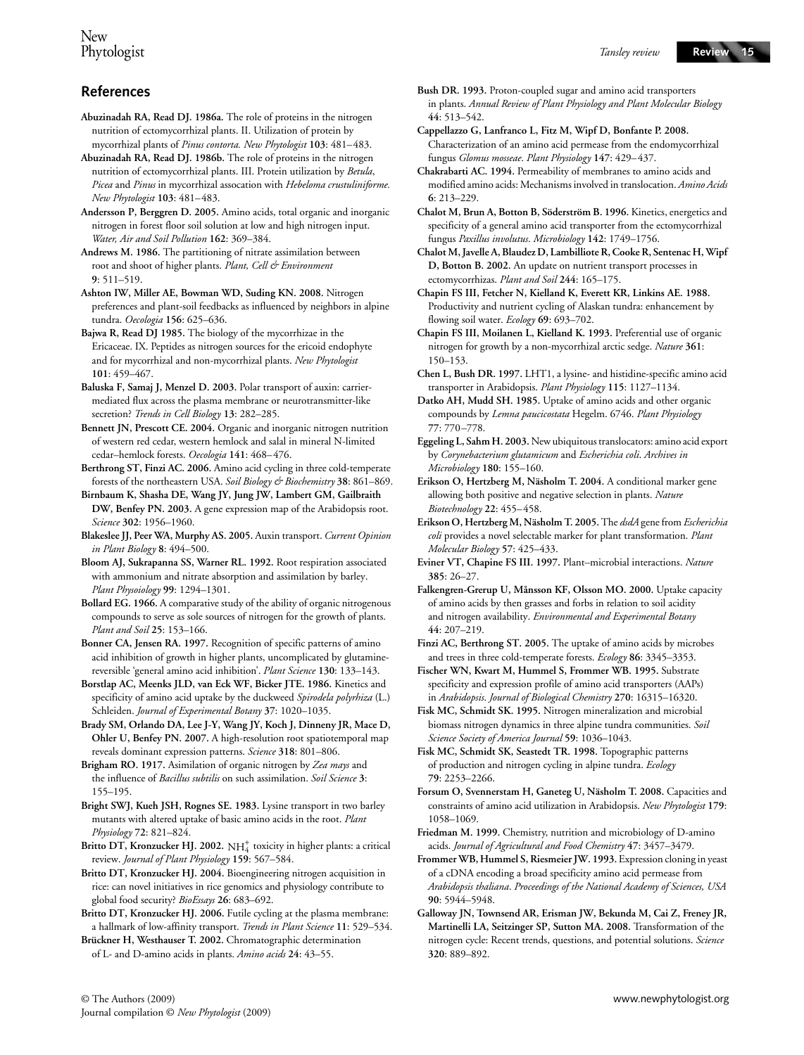## **References**

- **Abuzinadah RA, Read DJ. 1986a.** The role of proteins in the nitrogen nutrition of ectomycorrhizal plants. II. Utilization of protein by mycorrhizal plants of *Pinus contorta. New Phytologist* **103**: 481–483.
- **Abuzinadah RA, Read DJ. 1986b.** The role of proteins in the nitrogen nutrition of ectomycorrhizal plants. III. Protein utilization by *Betula*, *Picea* and *Pinus* in mycorrhizal assocation with *Hebeloma crustuliniforme. New Phytologist* **103**: 481–483.
- **Andersson P, Berggren D. 2005.** Amino acids, total organic and inorganic nitrogen in forest floor soil solution at low and high nitrogen input. *Water, Air and Soil Pollution* **162**: 369–384.
- **Andrews M. 1986.** The partitioning of nitrate assimilation between root and shoot of higher plants. *Plant, Cell & Environment* **9**: 511–519.
- **Ashton IW, Miller AE, Bowman WD, Suding KN. 2008.** Nitrogen preferences and plant-soil feedbacks as influenced by neighbors in alpine tundra. *Oecologia* **156**: 625–636.
- **Bajwa R, Read DJ 1985.** The biology of the mycorrhizae in the Ericaceae. IX. Peptides as nitrogen sources for the ericoid endophyte and for mycorrhizal and non-mycorrhizal plants. *New Phytologist* **101**: 459–467.
- **Baluska F, Samaj J, Menzel D. 2003.** Polar transport of auxin: carriermediated flux across the plasma membrane or neurotransmitter-like secretion? *Trends in Cell Biology* **13**: 282–285.
- **Bennett JN, Prescott CE. 2004.** Organic and inorganic nitrogen nutrition of western red cedar, western hemlock and salal in mineral N-limited cedar–hemlock forests. *Oecologia* **141**: 468–476.
- **Berthrong ST, Finzi AC. 2006.** Amino acid cycling in three cold-temperate forests of the northeastern USA. *Soil Biology & Biochemistry* **38**: 861–869.
- **Birnbaum K, Shasha DE, Wang JY, Jung JW, Lambert GM, Gailbraith DW, Benfey PN. 2003.** A gene expression map of the Arabidopsis root. *Science* **302**: 1956–1960.
- **Blakeslee JJ, Peer WA, Murphy AS. 2005.** Auxin transport. *Current Opinion in Plant Biology* **8**: 494–500.
- **Bloom AJ, Sukrapanna SS, Warner RL. 1992.** Root respiration associated with ammonium and nitrate absorption and assimilation by barley. *Plant Physoiology* **99**: 1294–1301.
- **Bollard EG. 1966.** A comparative study of the ability of organic nitrogenous compounds to serve as sole sources of nitrogen for the growth of plants. *Plant and Soil* **25**: 153–166.
- **Bonner CA, Jensen RA. 1997.** Recognition of specific patterns of amino acid inhibition of growth in higher plants, uncomplicated by glutaminereversible 'general amino acid inhibition'. *Plant Science* **130**: 133–143.
- **Borstlap AC, Meenks JLD, van Eck WF, Bicker JTE. 1986.** Kinetics and specificity of amino acid uptake by the duckweed *Spirodela polyrhiza* (L.) Schleiden. *Journal of Experimental Botany* **37**: 1020–1035.
- **Brady SM, Orlando DA, Lee J-Y, Wang JY, Koch J, Dinneny JR, Mace D, Ohler U, Benfey PN. 2007.** A high-resolution root spatiotemporal map reveals dominant expression patterns. *Science* **318**: 801–806.
- **Brigham RO. 1917.** Asimilation of organic nitrogen by *Zea mays* and the influence of *Bacillus subtilis* on such assimilation. *Soil Science* **3**: 155–195.
- **Bright SWJ, Kueh JSH, Rognes SE. 1983.** Lysine transport in two barley mutants with altered uptake of basic amino acids in the root. *Plant Physiology* **72**: 821–824.
- **Britto DT, Kronzucker HJ. 2002.**  $NH_4^+$  toxicity in higher plants: a critical review. *Journal of Plant Physiology* **159**: 567–584.
- **Britto DT, Kronzucker HJ. 2004.** Bioengineering nitrogen acquisition in rice: can novel initiatives in rice genomics and physiology contribute to global food security? *BioEssays* **26**: 683–692.
- **Britto DT, Kronzucker HJ. 2006.** Futile cycling at the plasma membrane: a hallmark of low-affinity transport. *Trends in Plant Science* **11**: 529–534.
- **Brückner H, Westhauser T. 2002.** Chromatographic determination of L- and D-amino acids in plants. *Amino acids* **24**: 43–55.
- **Bush DR. 1993.** Proton-coupled sugar and amino acid transporters in plants. *Annual Review of Plant Physiology and Plant Molecular Biology* **44**: 513–542.
- **Cappellazzo G, Lanfranco L, Fitz M, Wipf D, Bonfante P. 2008.**  Characterization of an amino acid permease from the endomycorrhizal fungus *Glomus mosseae*. *Plant Physiology* **147**: 429–437.
- **Chakrabarti AC. 1994.** Permeability of membranes to amino acids and modified amino acids: Mechanisms involved in translocation. *Amino Acids* **6**: 213–229.
- **Chalot M, Brun A, Botton B, Söderström B. 1996.** Kinetics, energetics and specificity of a general amino acid transporter from the ectomycorrhizal fungus *Paxillus involutus*. *Microbiology* **142**: 1749–1756.
- **Chalot M, Javelle A, Blaudez D, Lambilliote R, Cooke R, Sentenac H, Wipf D, Botton B. 2002.** An update on nutrient transport processes in ectomycorrhizas. *Plant and Soil* **244**: 165–175.
- **Chapin FS III, Fetcher N, Kielland K, Everett KR, Linkins AE. 1988.**  Productivity and nutrient cycling of Alaskan tundra: enhancement by flowing soil water. *Ecology* **69**: 693–702.
- **Chapin FS III, Moilanen L, Kielland K. 1993.** Preferential use of organic nitrogen for growth by a non-mycorrhizal arctic sedge. *Nature* **361**: 150–153.
- **Chen L, Bush DR. 1997.** LHT1, a lysine- and histidine-specific amino acid transporter in Arabidopsis. *Plant Physiology* **115**: 1127–1134.
- **Datko AH, Mudd SH. 1985.** Uptake of amino acids and other organic compounds by *Lemna paucicostata* Hegelm. 6746. *Plant Physiology* **77**: 770–778.
- **Eggeling L, Sahm H. 2003.** New ubiquitous translocators: amino acid export by *Corynebacterium glutamicum* and *Escherichia coli*. *Archives in Microbiology* **180**: 155–160.
- **Erikson O, Hertzberg M, Näsholm T. 2004.** A conditional marker gene allowing both positive and negative selection in plants. *Nature Biotechnology* **22**: 455–458.
- **Erikson O, Hertzberg M, Näsholm T. 2005.** The *dsdA* gene from *Escherichia coli* provides a novel selectable marker for plant transformation. *Plant Molecular Biology* **57**: 425–433.
- **Eviner VT, Chapine FS III. 1997.** Plant–microbial interactions. *Nature* **385**: 26–27.
- **Falkengren-Grerup U, Månsson KF, Olsson MO. 2000.** Uptake capacity of amino acids by then grasses and forbs in relation to soil acidity and nitrogen availability. *Environmental and Experimental Botany* **44**: 207–219.
- **Finzi AC, Berthrong ST. 2005.** The uptake of amino acids by microbes and trees in three cold-temperate forests. *Ecology* **86**: 3345–3353.
- **Fischer WN, Kwart M, Hummel S, Frommer WB. 1995.** Substrate specificity and expression profile of amino acid transporters (AAPs) in *Arabidopsis*. *Journal of Biological Chemistry* **270**: 16315–16320.
- **Fisk MC, Schmidt SK. 1995.** Nitrogen mineralization and microbial biomass nitrogen dynamics in three alpine tundra communities. *Soil Science Society of America Journal* **59**: 1036–1043.
- **Fisk MC, Schmidt SK, Seastedt TR. 1998.** Topographic patterns of production and nitrogen cycling in alpine tundra. *Ecology* **79**: 2253–2266.
- **Forsum O, Svennerstam H, Ganeteg U, Näsholm T. 2008.** Capacities and constraints of amino acid utilization in Arabidopsis. *New Phytologist* **179**: 1058–1069.
- **Friedman M. 1999.** Chemistry, nutrition and microbiology of D-amino acids. *Journal of Agricultural and Food Chemistry* **47**: 3457–3479.
- **Frommer WB, Hummel S, Riesmeier JW. 1993.** Expression cloning in yeast of a cDNA encoding a broad specificity amino acid permease from *Arabidopsis thaliana*. *Proceedings of the National Academy of Sciences, USA* **90**: 5944–5948.
- **Galloway JN, Townsend AR, Erisman JW, Bekunda M, Cai Z, Freney JR, Martinelli LA, Seitzinger SP, Sutton MA. 2008.** Transformation of the nitrogen cycle: Recent trends, questions, and potential solutions. *Science* **320**: 889–892.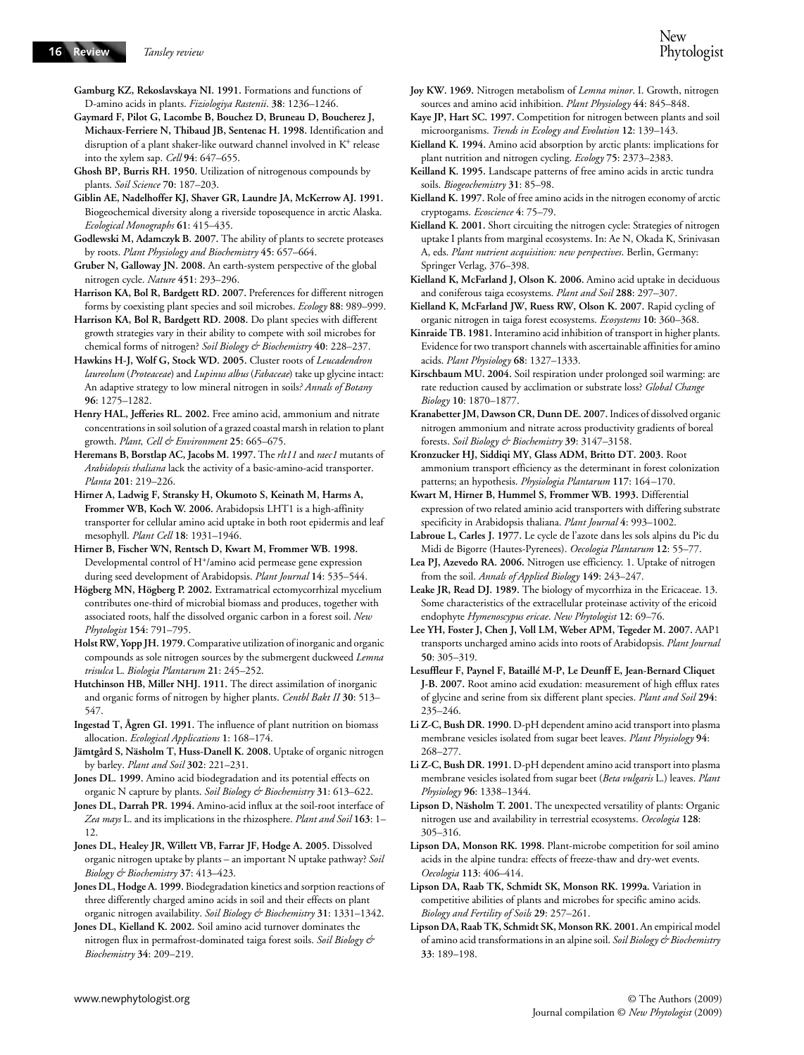**Gamburg KZ, Rekoslavskaya NI. 1991.** Formations and functions of D-amino acids in plants. *Fiziologiya Rastenii*. **38**: 1236–1246.

**Gaymard F, Pilot G, Lacombe B, Bouchez D, Bruneau D, Boucherez J, Michaux-Ferriere N, Thibaud JB, Sentenac H. 1998.** Identification and disruption of a plant shaker-like outward channel involved in K<sup>+</sup> release into the xylem sap. *Cell* **94**: 647–655.

**Ghosh BP, Burris RH. 1950.** Utilization of nitrogenous compounds by plants. *Soil Science* **70**: 187–203.

- **Giblin AE, Nadelhoffer KJ, Shaver GR, Laundre JA, McKerrow AJ. 1991.**  Biogeochemical diversity along a riverside toposequence in arctic Alaska. *Ecological Monographs* **61**: 415–435.
- **Godlewski M, Adamczyk B. 2007.** The ability of plants to secrete proteases by roots. *Plant Physiology and Biochemistry* **45**: 657–664.
- **Gruber N, Galloway JN. 2008.** An earth-system perspective of the global nitrogen cycle. *Nature* **451**: 293–296.

**Harrison KA, Bol R, Bardgett RD. 2007.** Preferences for different nitrogen forms by coexisting plant species and soil microbes. *Ecology* **88**: 989–999.

**Harrison KA, Bol R, Bardgett RD. 2008.** Do plant species with different growth strategies vary in their ability to compete with soil microbes for chemical forms of nitrogen? *Soil Biology & Biochemistry* **40**: 228–237.

**Hawkins H-J, Wolf G, Stock WD. 2005.** Cluster roots of *Leucadendron laureolum* (*Proteaceae*) and *Lupinus albus* (*Fabaceae*) take up glycine intact: An adaptive strategy to low mineral nitrogen in soils*? Annals of Botany* **96**: 1275–1282.

**Henry HAL, Jefferies RL. 2002.** Free amino acid, ammonium and nitrate concentrations in soil solution of a grazed coastal marsh in relation to plant growth. *Plant, Cell & Environment* **25**: 665–675.

**Heremans B, Borstlap AC, Jacobs M. 1997.** The *rlt11* and *raec1* mutants of *Arabidopsis thaliana* lack the activity of a basic-amino-acid transporter. *Planta* **201**: 219–226.

**Hirner A, Ladwig F, Stransky H, Okumoto S, Keinath M, Harms A, Frommer WB, Koch W. 2006.** Arabidopsis LHT1 is a high-affinity transporter for cellular amino acid uptake in both root epidermis and leaf mesophyll. *Plant Cell* **18**: 1931–1946.

**Hirner B, Fischer WN, Rentsch D, Kwart M, Frommer WB. 1998.**  Developmental control of H<sup>+</sup>/amino acid permease gene expression during seed development of Arabidopsis. *Plant Journal* **14**: 535–544.

**Högberg MN, Högberg P. 2002.** Extramatrical ectomycorrhizal mycelium contributes one-third of microbial biomass and produces, together with associated roots, half the dissolved organic carbon in a forest soil. *New Phytologist* **154**: 791–795.

**Holst RW, Yopp JH. 1979.** Comparative utilization of inorganic and organic compounds as sole nitrogen sources by the submergent duckweed *Lemna trisulca* L. *Biologia Plantarum* **21**: 245–252.

**Hutchinson HB, Miller NHJ. 1911.** The direct assimilation of inorganic and organic forms of nitrogen by higher plants. *Centbl Bakt II* **30**: 513– 547.

**Ingestad T, Ågren GI. 1991.** The influence of plant nutrition on biomass allocation. *Ecological Applications* **1**: 168–174.

**Jämtgård S, Näsholm T, Huss-Danell K. 2008.** Uptake of organic nitrogen by barley. *Plant and Soil* **302**: 221–231.

**Jones DL. 1999.** Amino acid biodegradation and its potential effects on organic N capture by plants. *Soil Biology & Biochemistry* **31**: 613–622.

**Jones DL, Darrah PR. 1994.** Amino-acid influx at the soil-root interface of *Zea mays* L. and its implications in the rhizosphere. *Plant and Soil* **163**: 1– 12.

**Jones DL, Healey JR, Willett VB, Farrar JF, Hodge A. 2005.** Dissolved organic nitrogen uptake by plants – an important N uptake pathway? *Soil Biology & Biochemistry* **37**: 413–423.

**Jones DL, Hodge A. 1999.** Biodegradation kinetics and sorption reactions of three differently charged amino acids in soil and their effects on plant organic nitrogen availability. *Soil Biology & Biochemistry* **31**: 1331–1342.

**Jones DL, Kielland K. 2002.** Soil amino acid turnover dominates the nitrogen flux in permafrost-dominated taiga forest soils. *Soil Biology & Biochemistry* **34**: 209–219.

- **Kaye JP, Hart SC. 1997.** Competition for nitrogen between plants and soil microorganisms. *Trends in Ecology and Evolution* **12**: 139–143.
- **Kielland K. 1994.** Amino acid absorption by arctic plants: implications for plant nutrition and nitrogen cycling. *Ecology* **75**: 2373–2383.
- **Keilland K. 1995.** Landscape patterns of free amino acids in arctic tundra soils. *Biogeochemistry* **31**: 85–98.

**Kielland K. 1997.** Role of free amino acids in the nitrogen economy of arctic cryptogams. *Ecoscience* **4**: 75–79.

**Kielland K. 2001.** Short circuiting the nitrogen cycle: Strategies of nitrogen uptake I plants from marginal ecosystems. In: Ae N, Okada K, Srinivasan A, eds. *Plant nutrient acquisition: new perspectives*. Berlin, Germany: Springer Verlag, 376–398.

**Kielland K, McFarland J, Olson K. 2006.** Amino acid uptake in deciduous and coniferous taiga ecosystems. *Plant and Soil* **288**: 297–307.

**Kielland K, McFarland JW, Ruess RW, Olson K. 2007.** Rapid cycling of organic nitrogen in taiga forest ecosystems. *Ecosystems* **10**: 360–368.

**Kinraide TB. 1981.** Interamino acid inhibition of transport in higher plants. Evidence for two transport channels with ascertainable affinities for amino acids. *Plant Physiology* **68**: 1327–1333.

**Kirschbaum MU. 2004.** Soil respiration under prolonged soil warming: are rate reduction caused by acclimation or substrate loss? *Global Change Biology* **10**: 1870–1877.

**Kranabetter JM, Dawson CR, Dunn DE. 2007.** Indices of dissolved organic nitrogen ammonium and nitrate across productivity gradients of boreal forests. *Soil Biology & Biochemistry* **39**: 3147–3158.

**Kronzucker HJ, Siddiqi MY, Glass ADM, Britto DT. 2003.** Root ammonium transport efficiency as the determinant in forest colonization patterns; an hypothesis. *Physiologia Plantarum* **117**: 164–170.

**Kwart M, Hirner B, Hummel S, Frommer WB. 1993.** Differential expression of two related aminio acid transporters with differing substrate specificity in Arabidopsis thaliana. *Plant Journal* **4**: 993–1002.

**Labroue L, Carles J. 1977.** Le cycle de l'azote dans les sols alpins du Pic du Midi de Bigorre (Hautes-Pyrenees). *Oecologia Plantarum* **12**: 55–77.

**Lea PJ, Azevedo RA. 2006.** Nitrogen use efficiency. 1. Uptake of nitrogen from the soil. *Annals of Applied Biology* **149**: 243–247.

**Leake JR, Read DJ. 1989.** The biology of mycorrhiza in the Ericaceae. 13. Some characteristics of the extracellular proteinase activity of the ericoid endophyte *Hymenoscypus ericae*. *New Phytologist* **12**: 69–76.

Lee YH, Foster J, Chen J, Voll LM, Weber APM, Tegeder M. 2007. AAP1 transports uncharged amino acids into roots of Arabidopsis. *Plant Journal* **50**: 305–319.

**Lesuffleur F, Paynel F, Bataillé M-P, Le Deunff E, Jean-Bernard Cliquet J-B. 2007.** Root amino acid exudation: measurement of high efflux rates of glycine and serine from six different plant species. *Plant and Soil* **294**: 235–246.

**Li Z-C, Bush DR. 1990.** D-pH dependent amino acid transport into plasma membrane vesicles isolated from sugar beet leaves. *Plant Physiology* **94**: 268–277.

**Li Z-C, Bush DR. 1991.** D-pH dependent amino acid transport into plasma membrane vesicles isolated from sugar beet (*Beta vulgaris* L.) leaves. *Plant Physiology* **96**: 1338–1344.

**Lipson D, Näsholm T. 2001.** The unexpected versatility of plants: Organic nitrogen use and availability in terrestrial ecosystems. *Oecologia* **128**: 305–316.

**Lipson DA, Monson RK. 1998.** Plant-microbe competition for soil amino acids in the alpine tundra: effects of freeze-thaw and dry-wet events. *Oecologia* **113**: 406–414.

**Lipson DA, Raab TK, Schmidt SK, Monson RK. 1999a.** Variation in competitive abilities of plants and microbes for specific amino acids. *Biology and Fertility of Soils* **29**: 257–261.

**Lipson DA, Raab TK, Schmidt SK, Monson RK. 2001.** An empirical model of amino acid transformations in an alpine soil. *Soil Biology & Biochemistry* **33**: 189–198.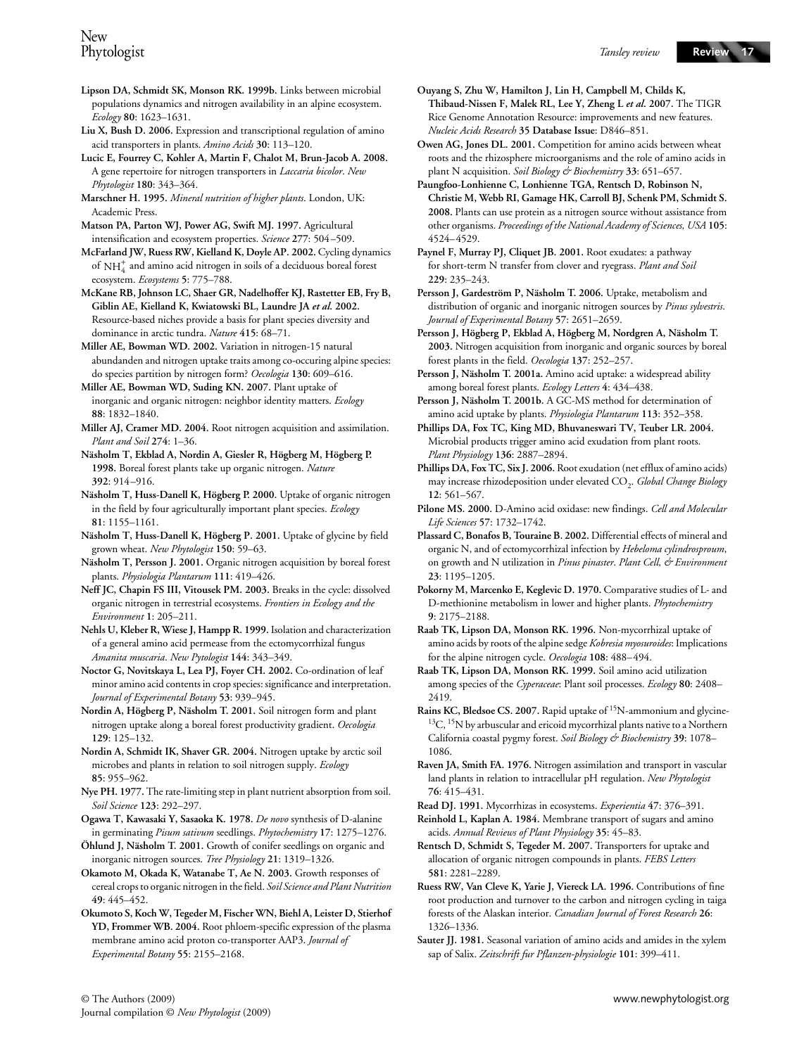- **Lipson DA, Schmidt SK, Monson RK. 1999b.** Links between microbial populations dynamics and nitrogen availability in an alpine ecosystem. *Ecology* **80**: 1623–1631.
- **Liu X, Bush D. 2006.** Expression and transcriptional regulation of amino acid transporters in plants. *Amino Acids* **30**: 113–120.

**Lucic E, Fourrey C, Kohler A, Martin F, Chalot M, Brun-Jacob A. 2008.**  A gene repertoire for nitrogen transporters in *Laccaria bicolor*. *New Phytologist* **180**: 343–364.

- **Marschner H. 1995.** *Mineral nutrition of higher plants*. London, UK: Academic Press.
- **Matson PA, Parton WJ, Power AG, Swift MJ. 1997.** Agricultural intensification and ecosystem properties. *Science* **277**: 504–509.

**McFarland JW, Ruess RW, Kielland K, Doyle AP. 2002.** Cycling dynamics of  $\mathrm{NH}_4^+$  and amino acid nitrogen in soils of a deciduous boreal forest ecosystem. *Ecosystems* **5**: 775–788.

**McKane RB, Johnson LC, Shaer GR, Nadelhoffer KJ, Rastetter EB, Fry B, Giblin AE, Kielland K, Kwiatowski BL, Laundre JA** *et al***. 2002.**  Resource-based niches provide a basis for plant species diversity and dominance in arctic tundra. *Nature* **415**: 68–71.

**Miller AE, Bowman WD. 2002.** Variation in nitrogen-15 natural abundanden and nitrogen uptake traits among co-occuring alpine species: do species partition by nitrogen form? *Oecologia* **130**: 609–616.

**Miller AE, Bowman WD, Suding KN. 2007.** Plant uptake of inorganic and organic nitrogen: neighbor identity matters. *Ecology* **88**: 1832–1840.

- **Miller AJ, Cramer MD. 2004.** Root nitrogen acquisition and assimilation. *Plant and Soil* **274**: 1–36.
- **Näsholm T, Ekblad A, Nordin A, Giesler R, Högberg M, Högberg P. 1998.** Boreal forest plants take up organic nitrogen. *Nature* **392**: 914–916.
- **Näsholm T, Huss-Danell K, Högberg P. 2000.** Uptake of organic nitrogen in the field by four agriculturally important plant species. *Ecology* **81**: 1155–1161.
- **Näsholm T, Huss-Danell K, Högberg P. 2001.** Uptake of glycine by field grown wheat. *New Phytologist* **150**: 59–63.
- **Näsholm T, Persson J. 2001.** Organic nitrogen acquisition by boreal forest plants. *Physiologia Plantarum* **111**: 419–426.
- **Neff JC, Chapin FS III, Vitousek PM. 2003.** Breaks in the cycle: dissolved organic nitrogen in terrestrial ecosystems. *Frontiers in Ecology and the Environment* **1**: 205–211.

**Nehls U, Kleber R, Wiese J, Hampp R. 1999.** Isolation and characterization of a general amino acid permease from the ectomycorrhizal fungus *Amanita muscaria*. *New Pytologist* **144**: 343–349.

**Noctor G, Novitskaya L, Lea PJ, Foyer CH. 2002.** Co-ordination of leaf minor amino acid contents in crop species: significance and interpretation. *Journal of Experimental Botany* **53**: 939–945.

**Nordin A, Högberg P, Näsholm T. 2001.** Soil nitrogen form and plant nitrogen uptake along a boreal forest productivity gradient. *Oecologia* **129**: 125–132.

**Nordin A, Schmidt IK, Shaver GR. 2004.** Nitrogen uptake by arctic soil microbes and plants in relation to soil nitrogen supply. *Ecology* **85**: 955–962.

**Nye PH. 1977.** The rate-limiting step in plant nutrient absorption from soil. *Soil Science* **123**: 292–297.

**Ogawa T, Kawasaki Y, Sasaoka K. 1978.** *De novo* synthesis of D-alanine in germinating *Pisum sativum* seedlings. *Phytochemistry* **17**: 1275–1276.

**Öhlund J, Näsholm T. 2001.** Growth of conifer seedlings on organic and inorganic nitrogen sources. *Tree Physiology* **21**: 1319–1326.

**Okamoto M, Okada K, Watanabe T, Ae N. 2003.** Growth responses of cereal crops to organic nitrogen in the field. *Soil Science and Plant Nutrition* **49**: 445–452.

**Okumoto S, Koch W, Tegeder M, Fischer WN, Biehl A, Leister D, Stierhof YD, Frommer WB. 2004.** Root phloem-specific expression of the plasma membrane amino acid proton co-transporter AAP3. *Journal of Experimental Botany* **55**: 2155–2168.

**Ouyang S, Zhu W, Hamilton J, Lin H, Campbell M, Childs K, Thibaud-Nissen F, Malek RL, Lee Y, Zheng L** *et al***. 2007.** The TIGR Rice Genome Annotation Resource: improvements and new features. *Nucleic Acids Research* **35 Database Issue**: D846–851.

**Owen AG, Jones DL. 2001.** Competition for amino acids between wheat roots and the rhizosphere microorganisms and the role of amino acids in plant N acquisition. *Soil Biology & Biochemistry* **33**: 651–657.

**Paungfoo-Lonhienne C, Lonhienne TGA, Rentsch D, Robinson N, Christie M, Webb RI, Gamage HK, Carroll BJ, Schenk PM, Schmidt S. 2008.** Plants can use protein as a nitrogen source without assistance from other organisms. *Proceedings of the National Academy of Sciences, USA* **105**: 4524–4529.

**Paynel F, Murray PJ, Cliquet JB. 2001.** Root exudates: a pathway for short-term N transfer from clover and ryegrass. *Plant and Soil* **229**: 235–243.

**Persson J, Gardeström P, Näsholm T. 2006.** Uptake, metabolism and distribution of organic and inorganic nitrogen sources by *Pinus sylvestris*. *Journal of Experimental Botany* **57**: 2651–2659.

**Persson J, Högberg P, Ekblad A, Högberg M, Nordgren A, Näsholm T. 2003.** Nitrogen acquisition from inorganic and organic sources by boreal forest plants in the field. *Oecologia* **137**: 252–257.

- **Persson J, Näsholm T. 2001a.** Amino acid uptake: a widespread ability among boreal forest plants. *Ecology Letters* **4**: 434–438.
- **Persson J, Näsholm T. 2001b.** A GC-MS method for determination of amino acid uptake by plants. *Physiologia Plantarum* **113**: 352–358.

**Phillips DA, Fox TC, King MD, Bhuvaneswari TV, Teuber LR. 2004.**  Microbial products trigger amino acid exudation from plant roots. *Plant Physiology* **136**: 2887–2894.

- **Phillips DA, Fox TC, Six J. 2006.** Root exudation (net efflux of amino acids) may increase rhizodeposition under elevated CO2. *Global Change Biology* **12**: 561–567.
- **Pilone MS. 2000.** D-Amino acid oxidase: new findings. *Cell and Molecular Life Sciences* **57**: 1732–1742.

**Plassard C, Bonafos B, Touraine B. 2002.** Differential effects of mineral and organic N, and of ectomycorrhizal infection by *Hebeloma cylindrosproum*, on growth and N utilization in *Pinus pinaster*. *Plant Cell, & Environment* **23**: 1195–1205.

Pokorny M, Marcenko E, Keglevic D. 1970. Comparative studies of L- and D-methionine metabolism in lower and higher plants. *Phytochemistry* **9**: 2175–2188.

**Raab TK, Lipson DA, Monson RK. 1996.** Non-mycorrhizal uptake of amino acids by roots of the alpine sedge *Kobresia myosuroides*: Implications for the alpine nitrogen cycle. *Oecologia* **108**: 488–494.

**Raab TK, Lipson DA, Monson RK. 1999.** Soil amino acid utilization among species of the *Cyperaceae*: Plant soil processes. *Ecology* **80**: 2408– 2419.

- Rains KC, Bledsoe CS. 2007. Rapid uptake of <sup>15</sup>N-ammonium and glycine-<sup>13</sup>C, <sup>15</sup>N by arbuscular and ericoid mycorrhizal plants native to a Northern California coastal pygmy forest. *Soil Biology & Biochemistry* **39**: 1078– 1086.
- **Raven JA, Smith FA. 1976.** Nitrogen assimilation and transport in vascular land plants in relation to intracellular pH regulation. *New Phytologist* **76**: 415–431.

**Read DJ. 1991.** Mycorrhizas in ecosystems. *Experientia* **47**: 376–391.

**Reinhold L, Kaplan A. 1984.** Membrane transport of sugars and amino acids. *Annual Reviews of Plant Physiology* **35**: 45–83.

**Rentsch D, Schmidt S, Tegeder M. 2007.** Transporters for uptake and allocation of organic nitrogen compounds in plants. *FEBS Letters* **581**: 2281–2289.

- **Ruess RW, Van Cleve K, Yarie J, Viereck LA. 1996.** Contributions of fine root production and turnover to the carbon and nitrogen cycling in taiga forests of the Alaskan interior. *Canadian Journal of Forest Research* **26**: 1326–1336.
- **Sauter JJ. 1981.** Seasonal variation of amino acids and amides in the xylem sap of Salix. *Zeitschrift fur Pflanzen-physiologie* **101**: 399–411.